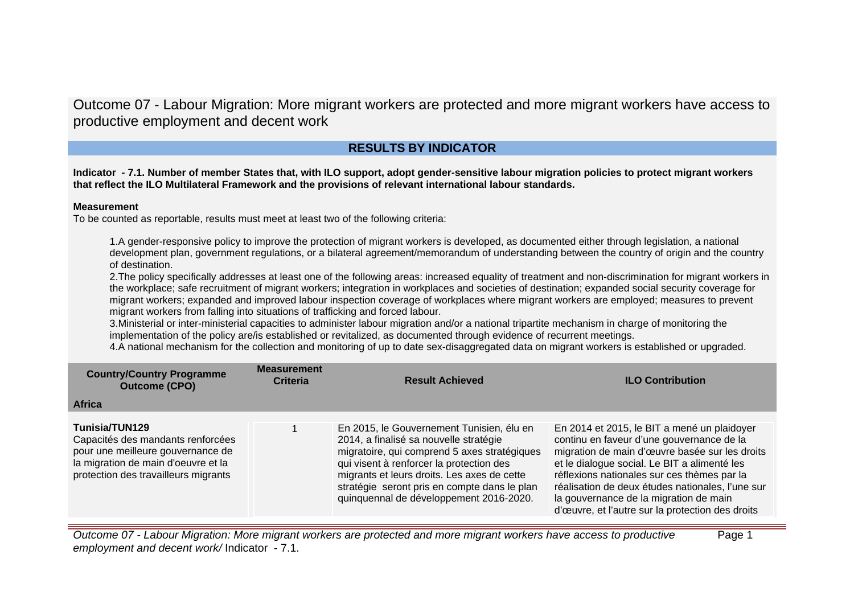Outcome 07 - Labour Migration: More migrant workers are protected and more migrant workers have access to productive employment and decent work

# **RESULTS BY INDICATOR**

**Indicator - 7.1. Number of member States that, with ILO support, adopt gender-sensitive labour migration policies to protect migrant workers that reflect the ILO Multilateral Framework and the provisions of relevant international labour standards.**

# **Measurement**

To be counted as reportable, results must meet at least two of the following criteria:

1.A gender-responsive policy to improve the protection of migrant workers is developed, as documented either through legislation, a national development plan, government regulations, or a bilateral agreement/memorandum of understanding between the country of origin and the country of destination.

2.The policy specifically addresses at least one of the following areas: increased equality of treatment and non-discrimination for migrant workers in the workplace; safe recruitment of migrant workers; integration in workplaces and societies of destination; expanded social security coverage for migrant workers; expanded and improved labour inspection coverage of workplaces where migrant workers are employed; measures to prevent migrant workers from falling into situations of trafficking and forced labour.

3.Ministerial or inter-ministerial capacities to administer labour migration and/or a national tripartite mechanism in charge of monitoring the implementation of the policy are/is established or revitalized, as documented through evidence of recurrent meetings.

4.A national mechanism for the collection and monitoring of up to date sex-disaggregated data on migrant workers is established or upgraded.

| <b>Country/Country Programme</b><br><b>Outcome (CPO)</b>                                                                                                                | <b>Measurement</b><br><b>Criteria</b> | <b>Result Achieved</b>                                                                                                                                                                                                                                                                                                    | <b>ILO Contribution</b>                                                                                                                                                                                                                                                                                                                                                                     |
|-------------------------------------------------------------------------------------------------------------------------------------------------------------------------|---------------------------------------|---------------------------------------------------------------------------------------------------------------------------------------------------------------------------------------------------------------------------------------------------------------------------------------------------------------------------|---------------------------------------------------------------------------------------------------------------------------------------------------------------------------------------------------------------------------------------------------------------------------------------------------------------------------------------------------------------------------------------------|
| <b>Africa</b>                                                                                                                                                           |                                       |                                                                                                                                                                                                                                                                                                                           |                                                                                                                                                                                                                                                                                                                                                                                             |
| Tunisia/TUN129<br>Capacités des mandants renforcées<br>pour une meilleure gouvernance de<br>la migration de main d'oeuvre et la<br>protection des travailleurs migrants |                                       | En 2015, le Gouvernement Tunisien, élu en<br>2014, a finalisé sa nouvelle stratégie<br>migratoire, qui comprend 5 axes stratégiques<br>qui visent à renforcer la protection des<br>migrants et leurs droits. Les axes de cette<br>stratégie seront pris en compte dans le plan<br>quinquennal de développement 2016-2020. | En 2014 et 2015, le BIT a mené un plaidoyer<br>continu en faveur d'une gouvernance de la<br>migration de main d'œuvre basée sur les droits<br>et le dialogue social. Le BIT a alimenté les<br>réflexions nationales sur ces thèmes par la<br>réalisation de deux études nationales, l'une sur<br>la gouvernance de la migration de main<br>d'œuvre, et l'autre sur la protection des droits |

Outcome 07 - Labour Migration: More migrant workers are protected and more migrant workers have access to productive employment and decent work/ Indicator - 7.1. Page 1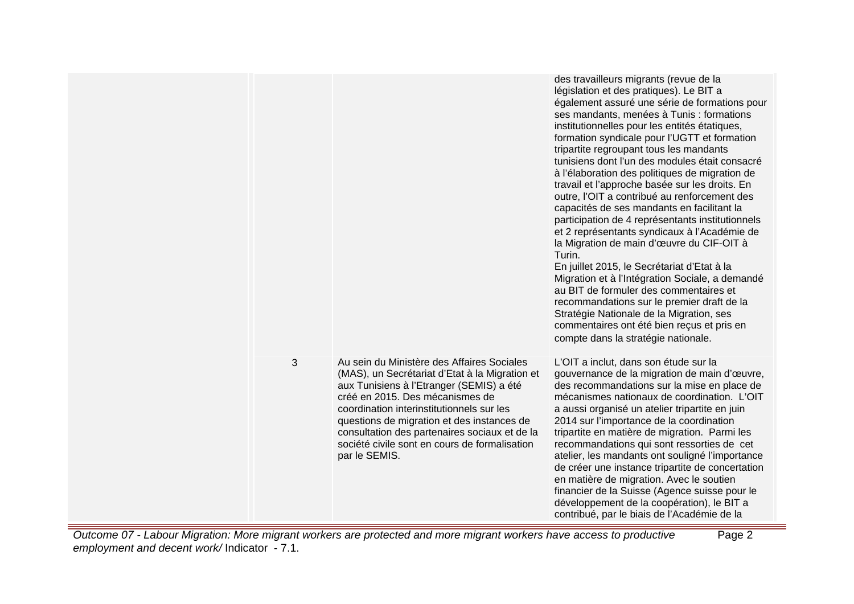|   |                                                                                                                                                                                                                                                                                                                                                                                           | des travailleurs migrants (revue de la<br>législation et des pratiques). Le BIT a<br>également assuré une série de formations pour<br>ses mandants, menées à Tunis : formations<br>institutionnelles pour les entités étatiques,<br>formation syndicale pour l'UGTT et formation<br>tripartite regroupant tous les mandants<br>tunisiens dont l'un des modules était consacré<br>à l'élaboration des politiques de migration de<br>travail et l'approche basée sur les droits. En<br>outre, l'OIT a contribué au renforcement des<br>capacités de ses mandants en facilitant la<br>participation de 4 représentants institutionnels<br>et 2 représentants syndicaux à l'Académie de<br>la Migration de main d'œuvre du CIF-OIT à<br>Turin.<br>En juillet 2015, le Secrétariat d'Etat à la<br>Migration et à l'Intégration Sociale, a demandé<br>au BIT de formuler des commentaires et<br>recommandations sur le premier draft de la<br>Stratégie Nationale de la Migration, ses<br>commentaires ont été bien reçus et pris en<br>compte dans la stratégie nationale. |
|---|-------------------------------------------------------------------------------------------------------------------------------------------------------------------------------------------------------------------------------------------------------------------------------------------------------------------------------------------------------------------------------------------|-----------------------------------------------------------------------------------------------------------------------------------------------------------------------------------------------------------------------------------------------------------------------------------------------------------------------------------------------------------------------------------------------------------------------------------------------------------------------------------------------------------------------------------------------------------------------------------------------------------------------------------------------------------------------------------------------------------------------------------------------------------------------------------------------------------------------------------------------------------------------------------------------------------------------------------------------------------------------------------------------------------------------------------------------------------------------|
| 3 | Au sein du Ministère des Affaires Sociales<br>(MAS), un Secrétariat d'Etat à la Migration et<br>aux Tunisiens à l'Etranger (SEMIS) a été<br>créé en 2015. Des mécanismes de<br>coordination interinstitutionnels sur les<br>questions de migration et des instances de<br>consultation des partenaires sociaux et de la<br>société civile sont en cours de formalisation<br>par le SEMIS. | L'OIT a inclut, dans son étude sur la<br>gouvernance de la migration de main d'œuvre,<br>des recommandations sur la mise en place de<br>mécanismes nationaux de coordination. L'OIT<br>a aussi organisé un atelier tripartite en juin<br>2014 sur l'importance de la coordination<br>tripartite en matière de migration. Parmi les<br>recommandations qui sont ressorties de cet<br>atelier, les mandants ont souligné l'importance<br>de créer une instance tripartite de concertation<br>en matière de migration. Avec le soutien<br>financier de la Suisse (Agence suisse pour le<br>développement de la coopération), le BIT a<br>contribué, par le biais de l'Académie de la                                                                                                                                                                                                                                                                                                                                                                                     |

Outcome 07 - Labour Migration: More migrant workers are protected and more migrant workers have access to productive employment and decent work/ Indicator - 7.1. Page 2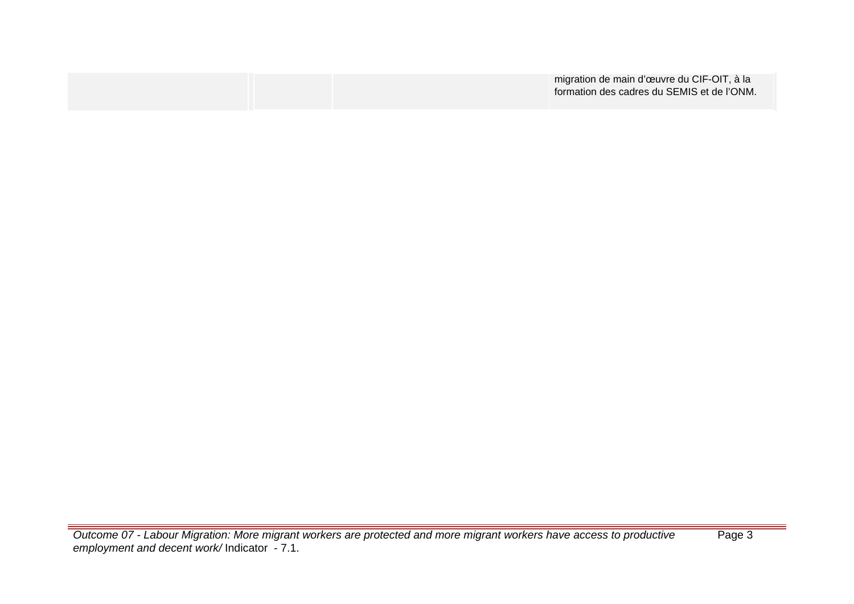|  | migration de main d'œuvre du CIF-OIT, à la |
|--|--------------------------------------------|
|  | formation des cadres du SEMIS et de l'ONM. |
|  |                                            |

Outcome 07 - Labour Migration: More migrant workers are protected and more migrant workers have access to productive employment and decent work/ Indicator - 7.1.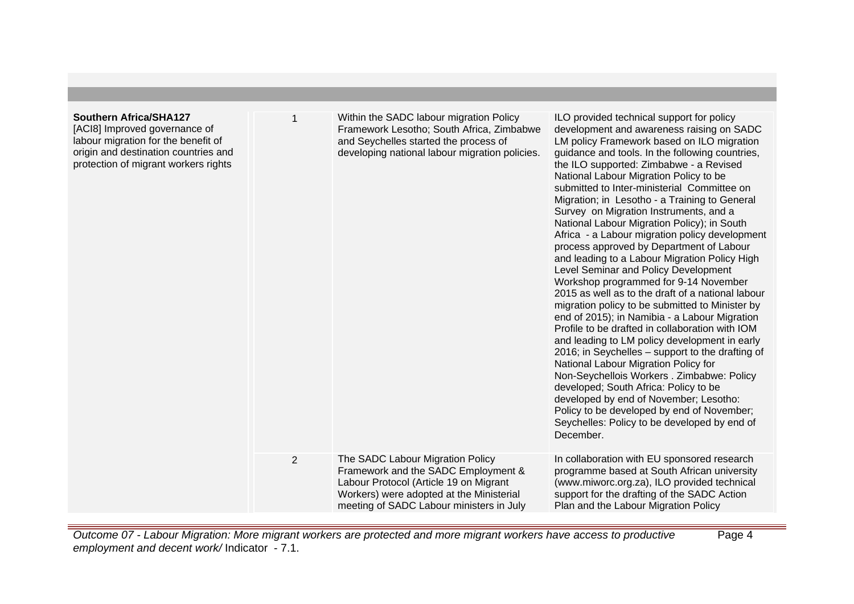| Southern Africa/SHA127<br>[ACI8] Improved governance of<br>labour migration for the benefit of<br>origin and destination countries and<br>protection of migrant workers rights |                | Within the SADC labour migration Policy<br>Framework Lesotho; South Africa, Zimbabwe<br>and Seychelles started the process of<br>developing national labour migration policies.                           | ILO provided technical support for policy<br>development and awareness raising on SADC<br>LM policy Framework based on ILO migration<br>guidance and tools. In the following countries,<br>the ILO supported: Zimbabwe - a Revised<br>National Labour Migration Policy to be<br>submitted to Inter-ministerial Committee on<br>Migration; in Lesotho - a Training to General<br>Survey on Migration Instruments, and a<br>National Labour Migration Policy); in South<br>Africa - a Labour migration policy development<br>process approved by Department of Labour<br>and leading to a Labour Migration Policy High<br>Level Seminar and Policy Development<br>Workshop programmed for 9-14 November<br>2015 as well as to the draft of a national labour<br>migration policy to be submitted to Minister by<br>end of 2015); in Namibia - a Labour Migration<br>Profile to be drafted in collaboration with IOM<br>and leading to LM policy development in early<br>2016; in Seychelles – support to the drafting of<br>National Labour Migration Policy for<br>Non-Seychellois Workers . Zimbabwe: Policy<br>developed; South Africa: Policy to be<br>developed by end of November; Lesotho:<br>Policy to be developed by end of November;<br>Seychelles: Policy to be developed by end of<br>December. |
|--------------------------------------------------------------------------------------------------------------------------------------------------------------------------------|----------------|-----------------------------------------------------------------------------------------------------------------------------------------------------------------------------------------------------------|------------------------------------------------------------------------------------------------------------------------------------------------------------------------------------------------------------------------------------------------------------------------------------------------------------------------------------------------------------------------------------------------------------------------------------------------------------------------------------------------------------------------------------------------------------------------------------------------------------------------------------------------------------------------------------------------------------------------------------------------------------------------------------------------------------------------------------------------------------------------------------------------------------------------------------------------------------------------------------------------------------------------------------------------------------------------------------------------------------------------------------------------------------------------------------------------------------------------------------------------------------------------------------------------------------|
|                                                                                                                                                                                | $\overline{2}$ | The SADC Labour Migration Policy<br>Framework and the SADC Employment &<br>Labour Protocol (Article 19 on Migrant<br>Workers) were adopted at the Ministerial<br>meeting of SADC Labour ministers in July | In collaboration with EU sponsored research<br>programme based at South African university<br>(www.miworc.org.za), ILO provided technical<br>support for the drafting of the SADC Action<br>Plan and the Labour Migration Policy                                                                                                                                                                                                                                                                                                                                                                                                                                                                                                                                                                                                                                                                                                                                                                                                                                                                                                                                                                                                                                                                           |

Outcome 07 - Labour Migration: More migrant workers are protected and more migrant workers have access to productive employment and decent work/ Indicator - 7.1.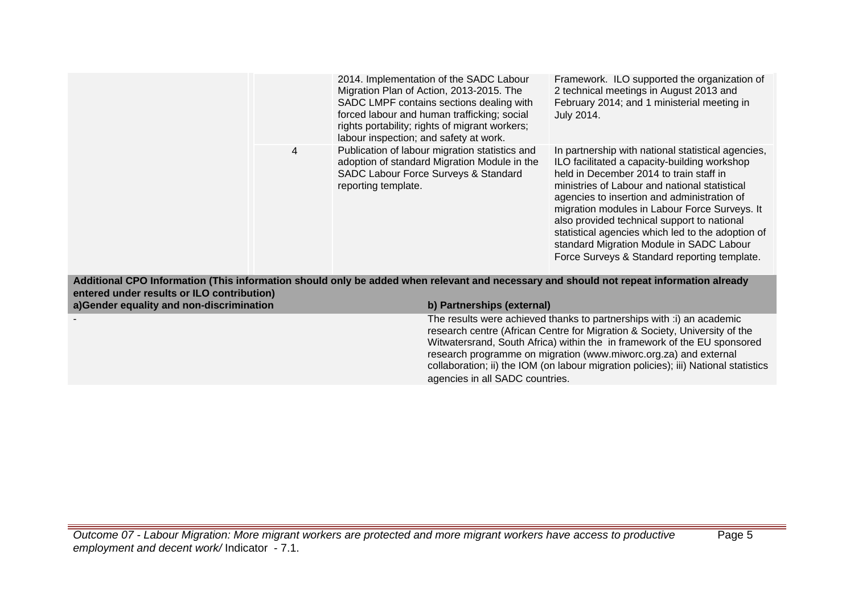|                                                                                        |                | agencies in all SADC countries.                                                                                                                                                                                                                                                                                                                      | The results were achieved thanks to partnerships with :i) an academic<br>research centre (African Centre for Migration & Society, University of the<br>Witwatersrand, South Africa) within the in framework of the EU sponsored<br>research programme on migration (www.miworc.org.za) and external<br>collaboration; ii) the IOM (on labour migration policies); iii) National statistics                                                                                                                                                                  |
|----------------------------------------------------------------------------------------|----------------|------------------------------------------------------------------------------------------------------------------------------------------------------------------------------------------------------------------------------------------------------------------------------------------------------------------------------------------------------|-------------------------------------------------------------------------------------------------------------------------------------------------------------------------------------------------------------------------------------------------------------------------------------------------------------------------------------------------------------------------------------------------------------------------------------------------------------------------------------------------------------------------------------------------------------|
| entered under results or ILO contribution)<br>a)Gender equality and non-discrimination |                | b) Partnerships (external)                                                                                                                                                                                                                                                                                                                           | Additional CPO Information (This information should only be added when relevant and necessary and should not repeat information already                                                                                                                                                                                                                                                                                                                                                                                                                     |
|                                                                                        | $\overline{4}$ | SADC LMPF contains sections dealing with<br>forced labour and human trafficking; social<br>rights portability; rights of migrant workers;<br>labour inspection; and safety at work.<br>Publication of labour migration statistics and<br>adoption of standard Migration Module in the<br>SADC Labour Force Surveys & Standard<br>reporting template. | February 2014; and 1 ministerial meeting in<br>July 2014.<br>In partnership with national statistical agencies,<br>ILO facilitated a capacity-building workshop<br>held in December 2014 to train staff in<br>ministries of Labour and national statistical<br>agencies to insertion and administration of<br>migration modules in Labour Force Surveys. It<br>also provided technical support to national<br>statistical agencies which led to the adoption of<br>standard Migration Module in SADC Labour<br>Force Surveys & Standard reporting template. |
|                                                                                        |                | 2014. Implementation of the SADC Labour<br>Migration Plan of Action, 2013-2015. The                                                                                                                                                                                                                                                                  | Framework. ILO supported the organization of<br>2 technical meetings in August 2013 and                                                                                                                                                                                                                                                                                                                                                                                                                                                                     |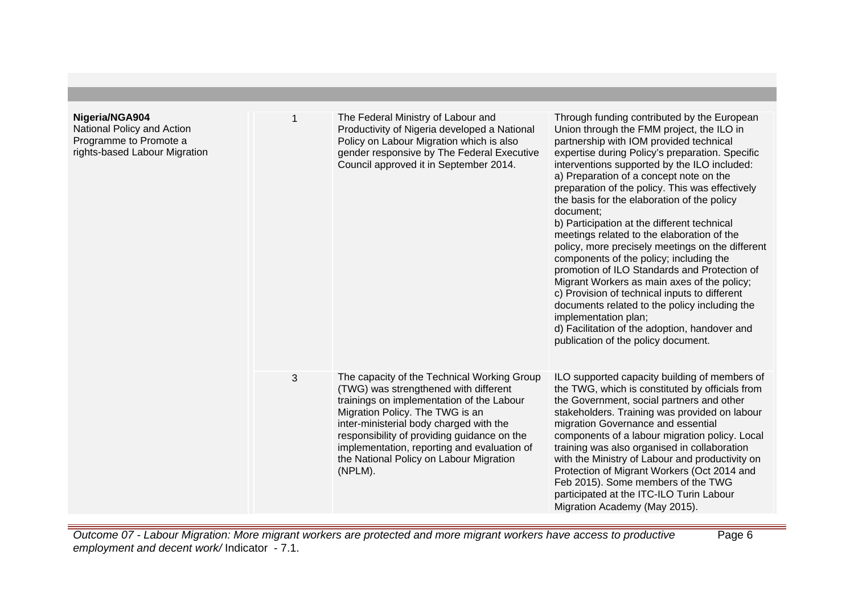| Nigeria/NGA904<br>National Policy and Action<br>Programme to Promote a<br>rights-based Labour Migration | $\mathbf 1$ | The Federal Ministry of Labour and<br>Productivity of Nigeria developed a National<br>Policy on Labour Migration which is also<br>gender responsive by The Federal Executive<br>Council approved it in September 2014.                                                                                                                                              | Through funding contributed by the European<br>Union through the FMM project, the ILO in<br>partnership with IOM provided technical<br>expertise during Policy's preparation. Specific<br>interventions supported by the ILO included:<br>a) Preparation of a concept note on the<br>preparation of the policy. This was effectively<br>the basis for the elaboration of the policy<br>document;<br>b) Participation at the different technical<br>meetings related to the elaboration of the<br>policy, more precisely meetings on the different<br>components of the policy; including the<br>promotion of ILO Standards and Protection of<br>Migrant Workers as main axes of the policy;<br>c) Provision of technical inputs to different<br>documents related to the policy including the<br>implementation plan;<br>d) Facilitation of the adoption, handover and<br>publication of the policy document. |
|---------------------------------------------------------------------------------------------------------|-------------|---------------------------------------------------------------------------------------------------------------------------------------------------------------------------------------------------------------------------------------------------------------------------------------------------------------------------------------------------------------------|---------------------------------------------------------------------------------------------------------------------------------------------------------------------------------------------------------------------------------------------------------------------------------------------------------------------------------------------------------------------------------------------------------------------------------------------------------------------------------------------------------------------------------------------------------------------------------------------------------------------------------------------------------------------------------------------------------------------------------------------------------------------------------------------------------------------------------------------------------------------------------------------------------------|
|                                                                                                         | 3           | The capacity of the Technical Working Group<br>(TWG) was strengthened with different<br>trainings on implementation of the Labour<br>Migration Policy. The TWG is an<br>inter-ministerial body charged with the<br>responsibility of providing guidance on the<br>implementation, reporting and evaluation of<br>the National Policy on Labour Migration<br>(NPLM). | ILO supported capacity building of members of<br>the TWG, which is constituted by officials from<br>the Government, social partners and other<br>stakeholders. Training was provided on labour<br>migration Governance and essential<br>components of a labour migration policy. Local<br>training was also organised in collaboration<br>with the Ministry of Labour and productivity on<br>Protection of Migrant Workers (Oct 2014 and<br>Feb 2015). Some members of the TWG<br>participated at the ITC-ILO Turin Labour<br>Migration Academy (May 2015).                                                                                                                                                                                                                                                                                                                                                   |

Outcome 07 - Labour Migration: More migrant workers are protected and more migrant workers have access to productive employment and decent work/ Indicator - 7.1. Page 6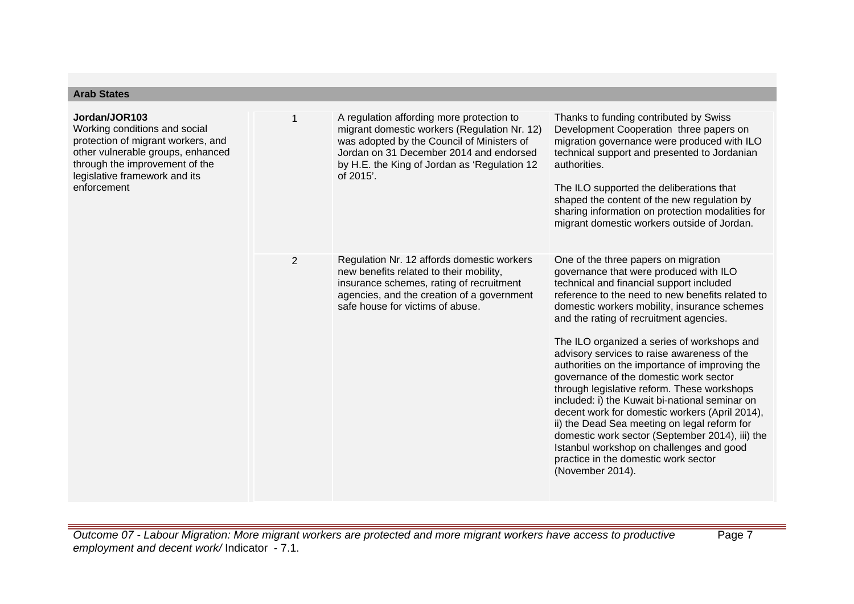| Jordan/JOR103<br>Working conditions and social<br>protection of migrant workers, and<br>other vulnerable groups, enhanced<br>through the improvement of the<br>legislative framework and its<br>enforcement | 1              | A regulation affording more protection to<br>migrant domestic workers (Regulation Nr. 12)<br>was adopted by the Council of Ministers of<br>Jordan on 31 December 2014 and endorsed<br>by H.E. the King of Jordan as 'Regulation 12<br>of $2015'$ . | Thanks to funding contributed by Swiss<br>Development Cooperation three papers on<br>migration governance were produced with ILO<br>technical support and presented to Jordanian<br>authorities.<br>The ILO supported the deliberations that<br>shaped the content of the new regulation by<br>sharing information on protection modalities for<br>migrant domestic workers outside of Jordan.                                                                                                                                                                                                                                                                                                                                                                                                                                    |
|-------------------------------------------------------------------------------------------------------------------------------------------------------------------------------------------------------------|----------------|----------------------------------------------------------------------------------------------------------------------------------------------------------------------------------------------------------------------------------------------------|-----------------------------------------------------------------------------------------------------------------------------------------------------------------------------------------------------------------------------------------------------------------------------------------------------------------------------------------------------------------------------------------------------------------------------------------------------------------------------------------------------------------------------------------------------------------------------------------------------------------------------------------------------------------------------------------------------------------------------------------------------------------------------------------------------------------------------------|
|                                                                                                                                                                                                             | $\overline{2}$ | Regulation Nr. 12 affords domestic workers<br>new benefits related to their mobility,<br>insurance schemes, rating of recruitment<br>agencies, and the creation of a government<br>safe house for victims of abuse.                                | One of the three papers on migration<br>governance that were produced with ILO<br>technical and financial support included<br>reference to the need to new benefits related to<br>domestic workers mobility, insurance schemes<br>and the rating of recruitment agencies.<br>The ILO organized a series of workshops and<br>advisory services to raise awareness of the<br>authorities on the importance of improving the<br>governance of the domestic work sector<br>through legislative reform. These workshops<br>included: i) the Kuwait bi-national seminar on<br>decent work for domestic workers (April 2014),<br>ii) the Dead Sea meeting on legal reform for<br>domestic work sector (September 2014), iii) the<br>Istanbul workshop on challenges and good<br>practice in the domestic work sector<br>(November 2014). |

**Arab States**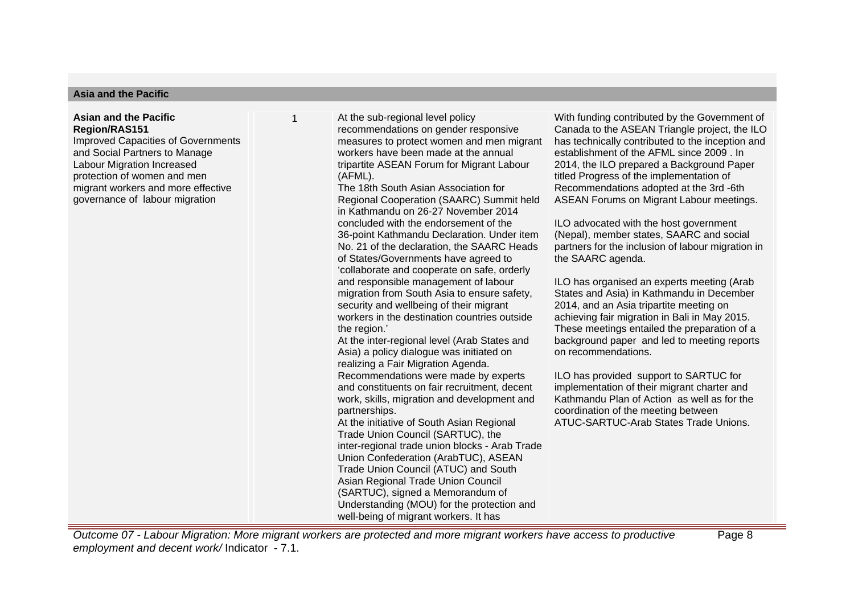### **Asia and the Pacific**

### **Asian and the Pacific Region/RAS151**

Improved Capacities of Governments and Social Partners to Manage Labour Migration Increased protection of women and men migrant workers and more effective governance of labour migration

1 At the sub-regional level policy recommendations on gender responsive measures to protect women and men migrant workers have been made at the annual tripartite ASEAN Forum for Migrant Labour (AFML).

> The 18th South Asian Association for Regional Cooperation (SAARC) Summit held in Kathmandu on 26-27 November 2014 concluded with the endorsement of the 36-point Kathmandu Declaration. Under item No. 21 of the declaration, the SAARC Heads of States/Governments have agreed to 'collaborate and cooperate on safe, orderly and responsible management of labour migration from South Asia to ensure safety, security and wellbeing of their migrant workers in the destination countries outside the region.'

At the inter-regional level (Arab States and Asia) a policy dialogue was initiated on realizing a Fair Migration Agenda. Recommendations were made by experts

and constituents on fair recruitment, decent work, skills, migration and development and partnerships.

At the initiative of South Asian Regional Trade Union Council (SARTUC), the inter-regional trade union blocks - Arab Trade Union Confederation (ArabTUC), ASEAN Trade Union Council (ATUC) and South Asian Regional Trade Union Council (SARTUC), signed a Memorandum of Understanding (MOU) for the protection and well-being of migrant workers. It has

With funding contributed by the Government of Canada to the ASEAN Triangle project, the ILO has technically contributed to the inception and establishment of the AFML since 2009 . In 2014, the ILO prepared a Background Paper titled Progress of the implementation of Recommendations adopted at the 3rd -6th ASEAN Forums on Migrant Labour meetings.

ILO advocated with the host government (Nepal), member states, SAARC and social partners for the inclusion of labour migration in the SAARC agenda.

ILO has organised an experts meeting (Arab States and Asia) in Kathmandu in December 2014, and an Asia tripartite meeting on achieving fair migration in Bali in May 2015. These meetings entailed the preparation of a background paper and led to meeting reports on recommendations.

ILO has provided support to SARTUC for implementation of their migrant charter and Kathmandu Plan of Action as well as for the coordination of the meeting between ATUC-SARTUC-Arab States Trade Unions.

Outcome 07 - Labour Migration: More migrant workers are protected and more migrant workers have access to productive employment and decent work/ Indicator - 7.1.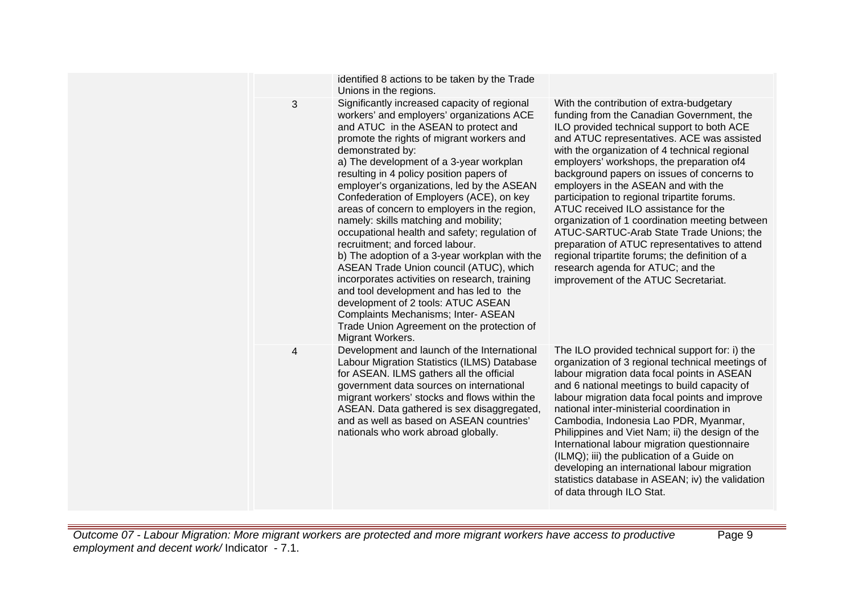|   | identified 8 actions to be taken by the Trade<br>Unions in the regions.                                                                                                                                                                                                                                                                                                                                                                                                                                                                                                                                                                                                                                                                                                                                                                                                                                 |                                                                                                                                                                                                                                                                                                                                                                                                                                                                                                                                                                                                                                                                                                                                             |
|---|---------------------------------------------------------------------------------------------------------------------------------------------------------------------------------------------------------------------------------------------------------------------------------------------------------------------------------------------------------------------------------------------------------------------------------------------------------------------------------------------------------------------------------------------------------------------------------------------------------------------------------------------------------------------------------------------------------------------------------------------------------------------------------------------------------------------------------------------------------------------------------------------------------|---------------------------------------------------------------------------------------------------------------------------------------------------------------------------------------------------------------------------------------------------------------------------------------------------------------------------------------------------------------------------------------------------------------------------------------------------------------------------------------------------------------------------------------------------------------------------------------------------------------------------------------------------------------------------------------------------------------------------------------------|
| 3 | Significantly increased capacity of regional<br>workers' and employers' organizations ACE<br>and ATUC in the ASEAN to protect and<br>promote the rights of migrant workers and<br>demonstrated by:<br>a) The development of a 3-year workplan<br>resulting in 4 policy position papers of<br>employer's organizations, led by the ASEAN<br>Confederation of Employers (ACE), on key<br>areas of concern to employers in the region,<br>namely: skills matching and mobility;<br>occupational health and safety; regulation of<br>recruitment; and forced labour.<br>b) The adoption of a 3-year workplan with the<br>ASEAN Trade Union council (ATUC), which<br>incorporates activities on research, training<br>and tool development and has led to the<br>development of 2 tools: ATUC ASEAN<br>Complaints Mechanisms; Inter- ASEAN<br>Trade Union Agreement on the protection of<br>Migrant Workers. | With the contribution of extra-budgetary<br>funding from the Canadian Government, the<br>ILO provided technical support to both ACE<br>and ATUC representatives. ACE was assisted<br>with the organization of 4 technical regional<br>employers' workshops, the preparation of4<br>background papers on issues of concerns to<br>employers in the ASEAN and with the<br>participation to regional tripartite forums.<br>ATUC received ILO assistance for the<br>organization of 1 coordination meeting between<br>ATUC-SARTUC-Arab State Trade Unions; the<br>preparation of ATUC representatives to attend<br>regional tripartite forums; the definition of a<br>research agenda for ATUC; and the<br>improvement of the ATUC Secretariat. |
| 4 | Development and launch of the International<br>Labour Migration Statistics (ILMS) Database<br>for ASEAN. ILMS gathers all the official<br>government data sources on international<br>migrant workers' stocks and flows within the<br>ASEAN. Data gathered is sex disaggregated,<br>and as well as based on ASEAN countries'<br>nationals who work abroad globally.                                                                                                                                                                                                                                                                                                                                                                                                                                                                                                                                     | The ILO provided technical support for: i) the<br>organization of 3 regional technical meetings of<br>labour migration data focal points in ASEAN<br>and 6 national meetings to build capacity of<br>labour migration data focal points and improve<br>national inter-ministerial coordination in<br>Cambodia, Indonesia Lao PDR, Myanmar,<br>Philippines and Viet Nam; ii) the design of the<br>International labour migration questionnaire<br>(ILMQ); iii) the publication of a Guide on<br>developing an international labour migration<br>statistics database in ASEAN; iv) the validation<br>of data through ILO Stat.                                                                                                                |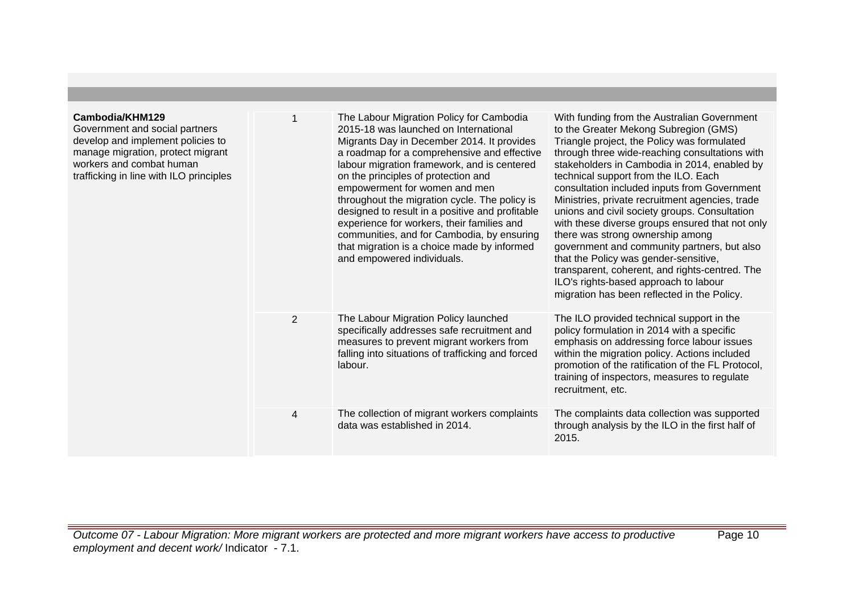| Cambodia/KHM129<br>Government and social partners<br>develop and implement policies to<br>manage migration, protect migrant<br>workers and combat human<br>trafficking in line with ILO principles |   | The Labour Migration Policy for Cambodia<br>2015-18 was launched on International<br>Migrants Day in December 2014. It provides<br>a roadmap for a comprehensive and effective<br>labour migration framework, and is centered<br>on the principles of protection and<br>empowerment for women and men<br>throughout the migration cycle. The policy is<br>designed to result in a positive and profitable<br>experience for workers, their families and<br>communities, and for Cambodia, by ensuring<br>that migration is a choice made by informed<br>and empowered individuals. | With funding from the Australian Government<br>to the Greater Mekong Subregion (GMS)<br>Triangle project, the Policy was formulated<br>through three wide-reaching consultations with<br>stakeholders in Cambodia in 2014, enabled by<br>technical support from the ILO. Each<br>consultation included inputs from Government<br>Ministries, private recruitment agencies, trade<br>unions and civil society groups. Consultation<br>with these diverse groups ensured that not only<br>there was strong ownership among<br>government and community partners, but also<br>that the Policy was gender-sensitive,<br>transparent, coherent, and rights-centred. The<br>ILO's rights-based approach to labour<br>migration has been reflected in the Policy. |
|----------------------------------------------------------------------------------------------------------------------------------------------------------------------------------------------------|---|------------------------------------------------------------------------------------------------------------------------------------------------------------------------------------------------------------------------------------------------------------------------------------------------------------------------------------------------------------------------------------------------------------------------------------------------------------------------------------------------------------------------------------------------------------------------------------|------------------------------------------------------------------------------------------------------------------------------------------------------------------------------------------------------------------------------------------------------------------------------------------------------------------------------------------------------------------------------------------------------------------------------------------------------------------------------------------------------------------------------------------------------------------------------------------------------------------------------------------------------------------------------------------------------------------------------------------------------------|
|                                                                                                                                                                                                    | 2 | The Labour Migration Policy launched<br>specifically addresses safe recruitment and<br>measures to prevent migrant workers from<br>falling into situations of trafficking and forced<br>labour.                                                                                                                                                                                                                                                                                                                                                                                    | The ILO provided technical support in the<br>policy formulation in 2014 with a specific<br>emphasis on addressing force labour issues<br>within the migration policy. Actions included<br>promotion of the ratification of the FL Protocol,<br>training of inspectors, measures to regulate<br>recruitment, etc.                                                                                                                                                                                                                                                                                                                                                                                                                                           |
|                                                                                                                                                                                                    | 4 | The collection of migrant workers complaints<br>data was established in 2014.                                                                                                                                                                                                                                                                                                                                                                                                                                                                                                      | The complaints data collection was supported<br>through analysis by the ILO in the first half of<br>2015.                                                                                                                                                                                                                                                                                                                                                                                                                                                                                                                                                                                                                                                  |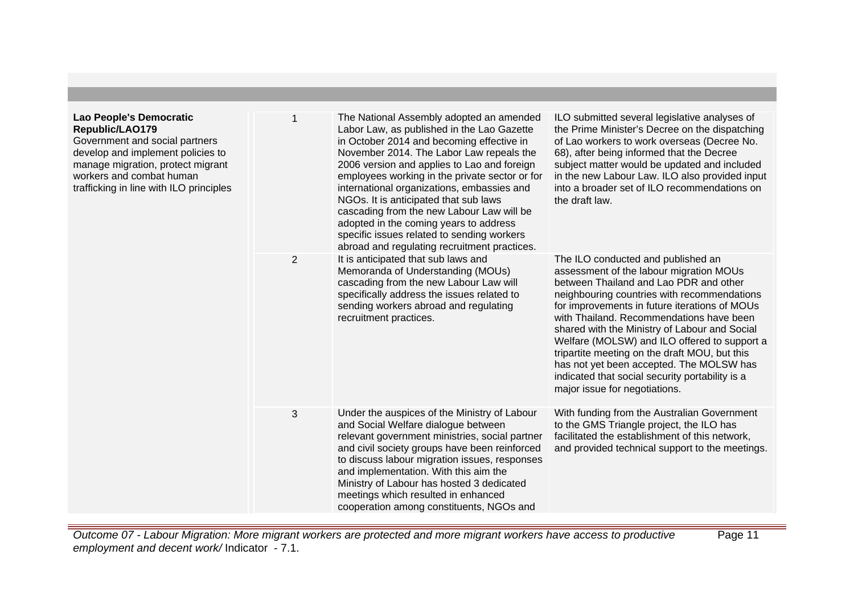| Lao People's Democratic<br>Republic/LAO179<br>Government and social partners<br>develop and implement policies to<br>manage migration, protect migrant<br>workers and combat human<br>trafficking in line with ILO principles |                | The National Assembly adopted an amended<br>Labor Law, as published in the Lao Gazette<br>in October 2014 and becoming effective in<br>November 2014. The Labor Law repeals the<br>2006 version and applies to Lao and foreign<br>employees working in the private sector or for<br>international organizations, embassies and<br>NGOs. It is anticipated that sub laws<br>cascading from the new Labour Law will be<br>adopted in the coming years to address<br>specific issues related to sending workers<br>abroad and regulating recruitment practices. | ILO submitted several legislative analyses of<br>the Prime Minister's Decree on the dispatching<br>of Lao workers to work overseas (Decree No.<br>68), after being informed that the Decree<br>subject matter would be updated and included<br>in the new Labour Law. ILO also provided input<br>into a broader set of ILO recommendations on<br>the draft law.                                                                                                                                                                                       |
|-------------------------------------------------------------------------------------------------------------------------------------------------------------------------------------------------------------------------------|----------------|--------------------------------------------------------------------------------------------------------------------------------------------------------------------------------------------------------------------------------------------------------------------------------------------------------------------------------------------------------------------------------------------------------------------------------------------------------------------------------------------------------------------------------------------------------------|-------------------------------------------------------------------------------------------------------------------------------------------------------------------------------------------------------------------------------------------------------------------------------------------------------------------------------------------------------------------------------------------------------------------------------------------------------------------------------------------------------------------------------------------------------|
|                                                                                                                                                                                                                               | $\overline{2}$ | It is anticipated that sub laws and<br>Memoranda of Understanding (MOUs)<br>cascading from the new Labour Law will<br>specifically address the issues related to<br>sending workers abroad and regulating<br>recruitment practices.                                                                                                                                                                                                                                                                                                                          | The ILO conducted and published an<br>assessment of the labour migration MOUs<br>between Thailand and Lao PDR and other<br>neighbouring countries with recommendations<br>for improvements in future iterations of MOUs<br>with Thailand. Recommendations have been<br>shared with the Ministry of Labour and Social<br>Welfare (MOLSW) and ILO offered to support a<br>tripartite meeting on the draft MOU, but this<br>has not yet been accepted. The MOLSW has<br>indicated that social security portability is a<br>major issue for negotiations. |
|                                                                                                                                                                                                                               | 3              | Under the auspices of the Ministry of Labour<br>and Social Welfare dialogue between<br>relevant government ministries, social partner<br>and civil society groups have been reinforced<br>to discuss labour migration issues, responses<br>and implementation. With this aim the<br>Ministry of Labour has hosted 3 dedicated<br>meetings which resulted in enhanced<br>cooperation among constituents, NGOs and                                                                                                                                             | With funding from the Australian Government<br>to the GMS Triangle project, the ILO has<br>facilitated the establishment of this network,<br>and provided technical support to the meetings.                                                                                                                                                                                                                                                                                                                                                          |

Outcome 07 - Labour Migration: More migrant workers are protected and more migrant workers have access to productive employment and decent work/ Indicator - 7.1.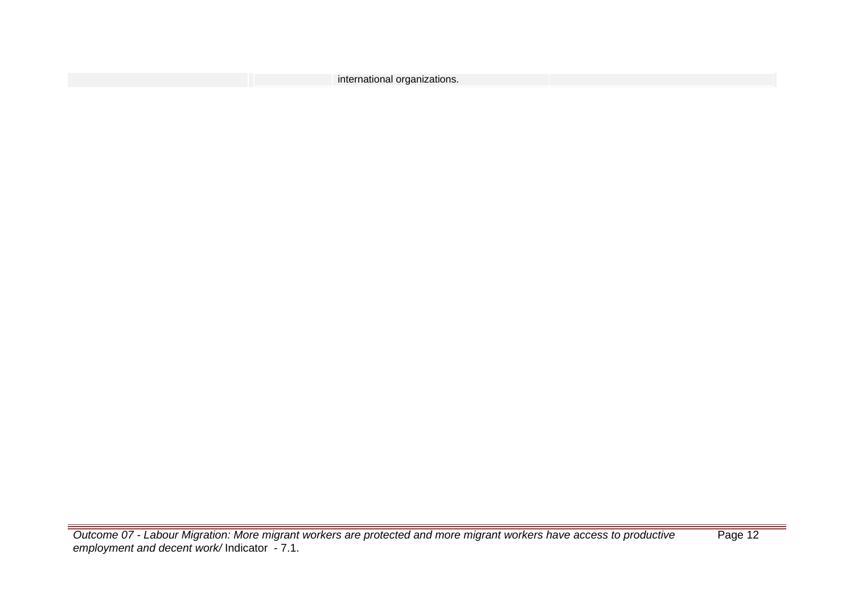| international organizations. |  |
|------------------------------|--|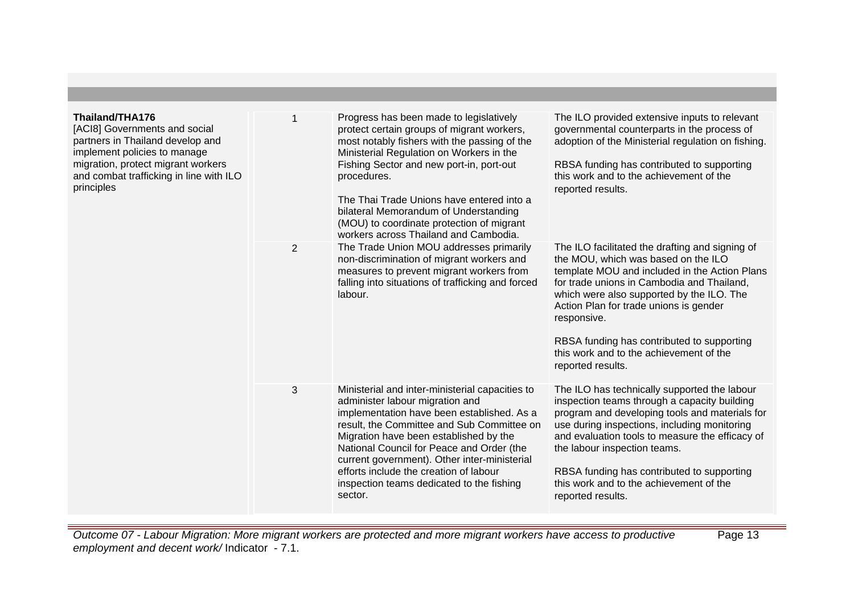| Thailand/THA176<br>[ACI8] Governments and social<br>partners in Thailand develop and<br>implement policies to manage<br>migration, protect migrant workers<br>and combat trafficking in line with ILO<br>principles |   | Progress has been made to legislatively<br>protect certain groups of migrant workers,<br>most notably fishers with the passing of the<br>Ministerial Regulation on Workers in the<br>Fishing Sector and new port-in, port-out                                                                                                                                                                                           | The ILO provided extensive inputs to relevant<br>governmental counterparts in the process of<br>adoption of the Ministerial regulation on fishing.<br>RBSA funding has contributed to supporting                                                                                                                                                                                                |
|---------------------------------------------------------------------------------------------------------------------------------------------------------------------------------------------------------------------|---|-------------------------------------------------------------------------------------------------------------------------------------------------------------------------------------------------------------------------------------------------------------------------------------------------------------------------------------------------------------------------------------------------------------------------|-------------------------------------------------------------------------------------------------------------------------------------------------------------------------------------------------------------------------------------------------------------------------------------------------------------------------------------------------------------------------------------------------|
|                                                                                                                                                                                                                     |   | procedures.<br>The Thai Trade Unions have entered into a<br>bilateral Memorandum of Understanding<br>(MOU) to coordinate protection of migrant<br>workers across Thailand and Cambodia.                                                                                                                                                                                                                                 | this work and to the achievement of the<br>reported results.                                                                                                                                                                                                                                                                                                                                    |
|                                                                                                                                                                                                                     | 2 | The Trade Union MOU addresses primarily<br>non-discrimination of migrant workers and<br>measures to prevent migrant workers from<br>falling into situations of trafficking and forced<br>labour.                                                                                                                                                                                                                        | The ILO facilitated the drafting and signing of<br>the MOU, which was based on the ILO<br>template MOU and included in the Action Plans<br>for trade unions in Cambodia and Thailand,<br>which were also supported by the ILO. The<br>Action Plan for trade unions is gender<br>responsive.<br>RBSA funding has contributed to supporting<br>this work and to the achievement of the            |
|                                                                                                                                                                                                                     |   |                                                                                                                                                                                                                                                                                                                                                                                                                         | reported results.                                                                                                                                                                                                                                                                                                                                                                               |
|                                                                                                                                                                                                                     | 3 | Ministerial and inter-ministerial capacities to<br>administer labour migration and<br>implementation have been established. As a<br>result, the Committee and Sub Committee on<br>Migration have been established by the<br>National Council for Peace and Order (the<br>current government). Other inter-ministerial<br>efforts include the creation of labour<br>inspection teams dedicated to the fishing<br>sector. | The ILO has technically supported the labour<br>inspection teams through a capacity building<br>program and developing tools and materials for<br>use during inspections, including monitoring<br>and evaluation tools to measure the efficacy of<br>the labour inspection teams.<br>RBSA funding has contributed to supporting<br>this work and to the achievement of the<br>reported results. |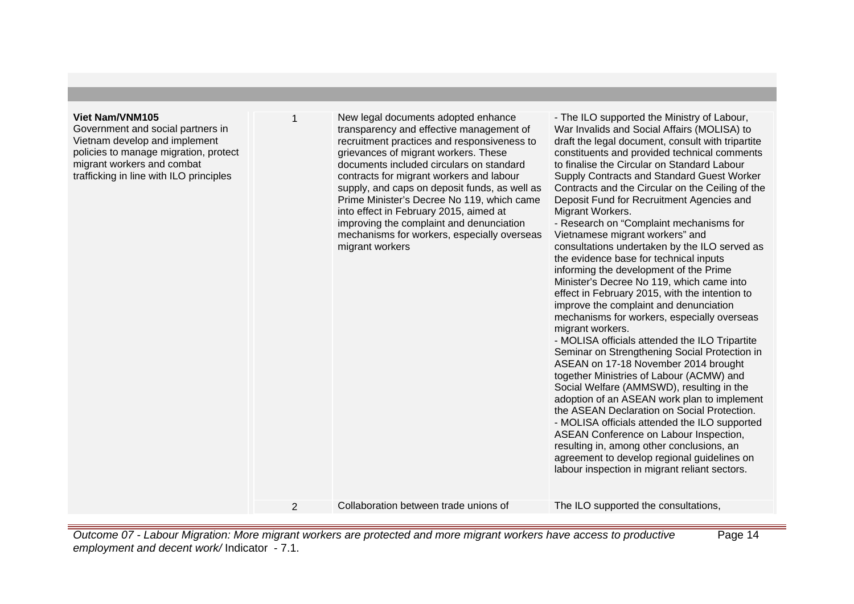### **Viet Nam/VNM105**

Government and social partners in Vietnam develop and implement policies to manage migration, protect migrant workers and combat trafficking in line with ILO principles

New legal documents adopted enhance transparency and effective management of recruitment practices and responsiveness to grievances of migrant workers. These documents included circulars on standard contracts for migrant workers and labour supply, and caps on deposit funds, as well as Prime Minister's Decree No 119, which came into effect in February 2015, aimed at improving the complaint and denunciation mechanisms for workers, especially overseas migrant workers

- The ILO supported the Ministry of Labour, War Invalids and Social Affairs (MOLISA) to draft the legal document, consult with tripartite constituents and provided technical comments to finalise the Circular on Standard Labour Supply Contracts and Standard Guest Worker Contracts and the Circular on the Ceiling of the Deposit Fund for Recruitment Agencies and Migrant Workers. - Research on "Complaint mechanisms for

Vietnamese migrant workers" and consultations undertaken by the ILO served as the evidence base for technical inputs informing the development of the Prime Minister's Decree No 119, which came into effect in February 2015, with the intention to improve the complaint and denunciation mechanisms for workers, especially overseas migrant workers. - MOLISA officials attended the ILO Tripartite

Seminar on Strengthening Social Protection in ASEAN on 17-18 November 2014 brought together Ministries of Labour (ACMW) and Social Welfare (AMMSWD), resulting in the adoption of an ASEAN work plan to implement the ASEAN Declaration on Social Protection. - MOLISA officials attended the ILO supported ASEAN Conference on Labour Inspection, resulting in, among other conclusions, an agreement to develop regional guidelines on labour inspection in migrant reliant sectors.

2 Collaboration between trade unions of The ILO supported the consultations,

Outcome 07 - Labour Migration: More migrant workers are protected and more migrant workers have access to productive employment and decent work/ Indicator - 7.1. Page 14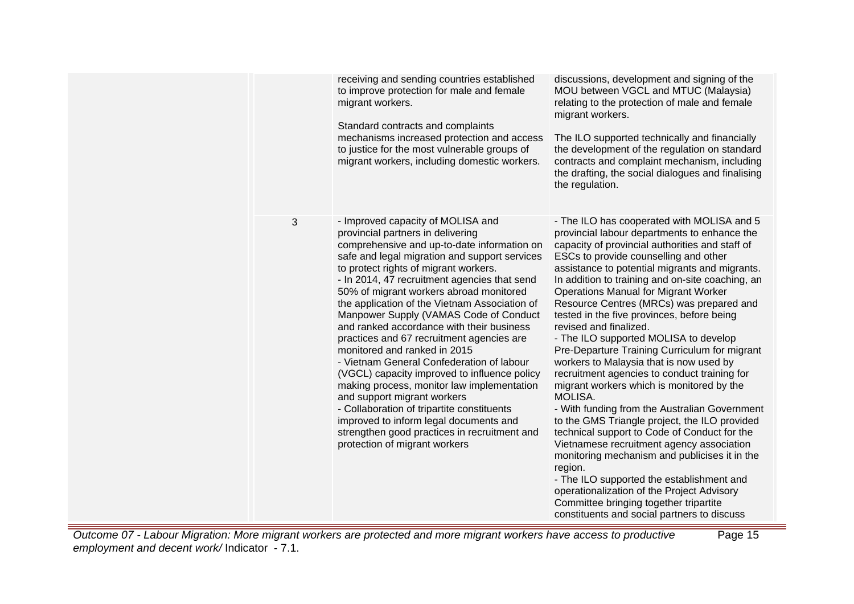|   | receiving and sending countries established<br>to improve protection for male and female<br>migrant workers.<br>Standard contracts and complaints<br>mechanisms increased protection and access<br>to justice for the most vulnerable groups of<br>migrant workers, including domestic workers.                                                                                                                                                                                                                                                                                                                                                                                                                                                                                                                                                                                    | discussions, development and signing of the<br>MOU between VGCL and MTUC (Malaysia)<br>relating to the protection of male and female<br>migrant workers.<br>The ILO supported technically and financially<br>the development of the regulation on standard<br>contracts and complaint mechanism, including<br>the drafting, the social dialogues and finalising<br>the regulation.                                                                                                                                                                                                                                                                                                                                                                                                                                                                                                                                                                                                                                                                                                                                                                          |
|---|------------------------------------------------------------------------------------------------------------------------------------------------------------------------------------------------------------------------------------------------------------------------------------------------------------------------------------------------------------------------------------------------------------------------------------------------------------------------------------------------------------------------------------------------------------------------------------------------------------------------------------------------------------------------------------------------------------------------------------------------------------------------------------------------------------------------------------------------------------------------------------|-------------------------------------------------------------------------------------------------------------------------------------------------------------------------------------------------------------------------------------------------------------------------------------------------------------------------------------------------------------------------------------------------------------------------------------------------------------------------------------------------------------------------------------------------------------------------------------------------------------------------------------------------------------------------------------------------------------------------------------------------------------------------------------------------------------------------------------------------------------------------------------------------------------------------------------------------------------------------------------------------------------------------------------------------------------------------------------------------------------------------------------------------------------|
| 3 | - Improved capacity of MOLISA and<br>provincial partners in delivering<br>comprehensive and up-to-date information on<br>safe and legal migration and support services<br>to protect rights of migrant workers.<br>- In 2014, 47 recruitment agencies that send<br>50% of migrant workers abroad monitored<br>the application of the Vietnam Association of<br>Manpower Supply (VAMAS Code of Conduct<br>and ranked accordance with their business<br>practices and 67 recruitment agencies are<br>monitored and ranked in 2015<br>- Vietnam General Confederation of labour<br>(VGCL) capacity improved to influence policy<br>making process, monitor law implementation<br>and support migrant workers<br>- Collaboration of tripartite constituents<br>improved to inform legal documents and<br>strengthen good practices in recruitment and<br>protection of migrant workers | - The ILO has cooperated with MOLISA and 5<br>provincial labour departments to enhance the<br>capacity of provincial authorities and staff of<br>ESCs to provide counselling and other<br>assistance to potential migrants and migrants.<br>In addition to training and on-site coaching, an<br><b>Operations Manual for Migrant Worker</b><br>Resource Centres (MRCs) was prepared and<br>tested in the five provinces, before being<br>revised and finalized.<br>- The ILO supported MOLISA to develop<br>Pre-Departure Training Curriculum for migrant<br>workers to Malaysia that is now used by<br>recruitment agencies to conduct training for<br>migrant workers which is monitored by the<br>MOLISA.<br>- With funding from the Australian Government<br>to the GMS Triangle project, the ILO provided<br>technical support to Code of Conduct for the<br>Vietnamese recruitment agency association<br>monitoring mechanism and publicises it in the<br>region.<br>- The ILO supported the establishment and<br>operationalization of the Project Advisory<br>Committee bringing together tripartite<br>constituents and social partners to discuss |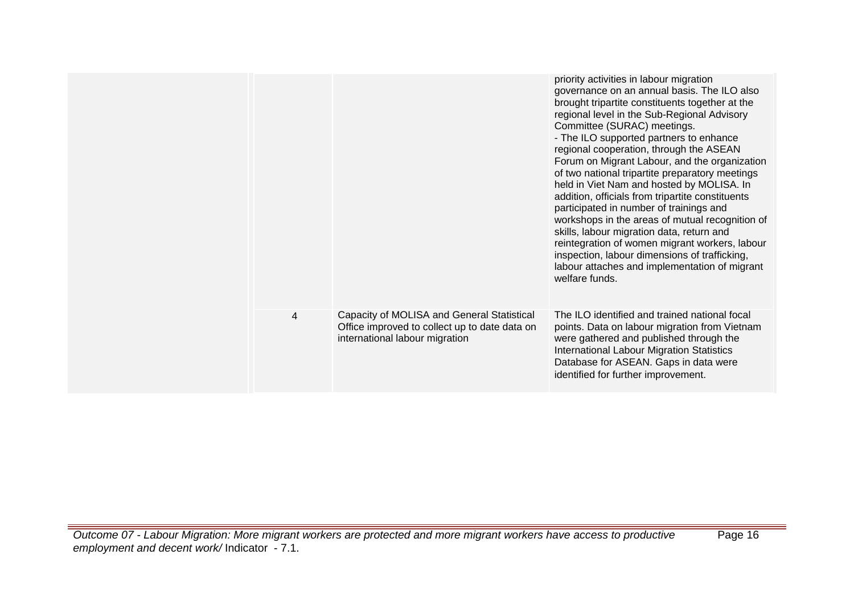|   |                                                                                                                               | priority activities in labour migration<br>governance on an annual basis. The ILO also<br>brought tripartite constituents together at the<br>regional level in the Sub-Regional Advisory<br>Committee (SURAC) meetings.<br>- The ILO supported partners to enhance<br>regional cooperation, through the ASEAN<br>Forum on Migrant Labour, and the organization<br>of two national tripartite preparatory meetings<br>held in Viet Nam and hosted by MOLISA. In<br>addition, officials from tripartite constituents<br>participated in number of trainings and<br>workshops in the areas of mutual recognition of<br>skills, labour migration data, return and<br>reintegration of women migrant workers, labour<br>inspection, labour dimensions of trafficking,<br>labour attaches and implementation of migrant<br>welfare funds. |
|---|-------------------------------------------------------------------------------------------------------------------------------|-------------------------------------------------------------------------------------------------------------------------------------------------------------------------------------------------------------------------------------------------------------------------------------------------------------------------------------------------------------------------------------------------------------------------------------------------------------------------------------------------------------------------------------------------------------------------------------------------------------------------------------------------------------------------------------------------------------------------------------------------------------------------------------------------------------------------------------|
| 4 | Capacity of MOLISA and General Statistical<br>Office improved to collect up to date data on<br>international labour migration | The ILO identified and trained national focal<br>points. Data on labour migration from Vietnam<br>were gathered and published through the<br>International Labour Migration Statistics<br>Database for ASEAN. Gaps in data were<br>identified for further improvement.                                                                                                                                                                                                                                                                                                                                                                                                                                                                                                                                                              |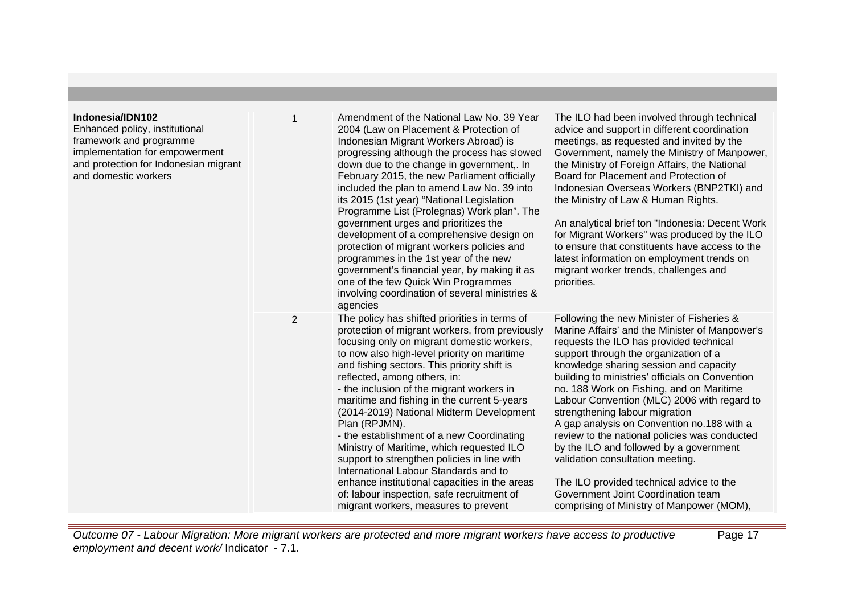# **Indonesia/IDN102**

Enhanced policy, institutional framework and programme implementation for empowerment and protection for Indonesian migrant and domestic workers

| t | $\mathbf{1}$   | Amendment of the National Law No. 39 Year<br>2004 (Law on Placement & Protection of<br>Indonesian Migrant Workers Abroad) is<br>progressing although the process has slowed<br>down due to the change in government,. In<br>February 2015, the new Parliament officially<br>included the plan to amend Law No. 39 into<br>its 2015 (1st year) "National Legislation<br>Programme List (Prolegnas) Work plan". The<br>government urges and prioritizes the<br>development of a comprehensive design on<br>protection of migrant workers policies and<br>programmes in the 1st year of the new<br>government's financial year, by making it as<br>one of the few Quick Win Programmes<br>involving coordination of several ministries &<br>agencies             | The ILO had been involved through technical<br>advice and support in different coordination<br>meetings, as requested and invited by the<br>Government, namely the Ministry of Manpower,<br>the Ministry of Foreign Affairs, the National<br>Board for Placement and Protection of<br>Indonesian Overseas Workers (BNP2TKI) and<br>the Ministry of Law & Human Rights.<br>An analytical brief ton "Indonesia: Decent Work<br>for Migrant Workers" was produced by the ILO<br>to ensure that constituents have access to the<br>latest information on employment trends on<br>migrant worker trends, challenges and<br>priorities.                                                                                      |
|---|----------------|---------------------------------------------------------------------------------------------------------------------------------------------------------------------------------------------------------------------------------------------------------------------------------------------------------------------------------------------------------------------------------------------------------------------------------------------------------------------------------------------------------------------------------------------------------------------------------------------------------------------------------------------------------------------------------------------------------------------------------------------------------------|------------------------------------------------------------------------------------------------------------------------------------------------------------------------------------------------------------------------------------------------------------------------------------------------------------------------------------------------------------------------------------------------------------------------------------------------------------------------------------------------------------------------------------------------------------------------------------------------------------------------------------------------------------------------------------------------------------------------|
|   | $\overline{2}$ | The policy has shifted priorities in terms of<br>protection of migrant workers, from previously<br>focusing only on migrant domestic workers,<br>to now also high-level priority on maritime<br>and fishing sectors. This priority shift is<br>reflected, among others, in:<br>- the inclusion of the migrant workers in<br>maritime and fishing in the current 5-years<br>(2014-2019) National Midterm Development<br>Plan (RPJMN).<br>- the establishment of a new Coordinating<br>Ministry of Maritime, which requested ILO<br>support to strengthen policies in line with<br>International Labour Standards and to<br>enhance institutional capacities in the areas<br>of: labour inspection, safe recruitment of<br>migrant workers, measures to prevent | Following the new Minister of Fisheries &<br>Marine Affairs' and the Minister of Manpower's<br>requests the ILO has provided technical<br>support through the organization of a<br>knowledge sharing session and capacity<br>building to ministries' officials on Convention<br>no. 188 Work on Fishing, and on Maritime<br>Labour Convention (MLC) 2006 with regard to<br>strengthening labour migration<br>A gap analysis on Convention no.188 with a<br>review to the national policies was conducted<br>by the ILO and followed by a government<br>validation consultation meeting.<br>The ILO provided technical advice to the<br>Government Joint Coordination team<br>comprising of Ministry of Manpower (MOM), |

Outcome 07 - Labour Migration: More migrant workers are protected and more migrant workers have access to productive employment and decent work/Indicator - 7.1.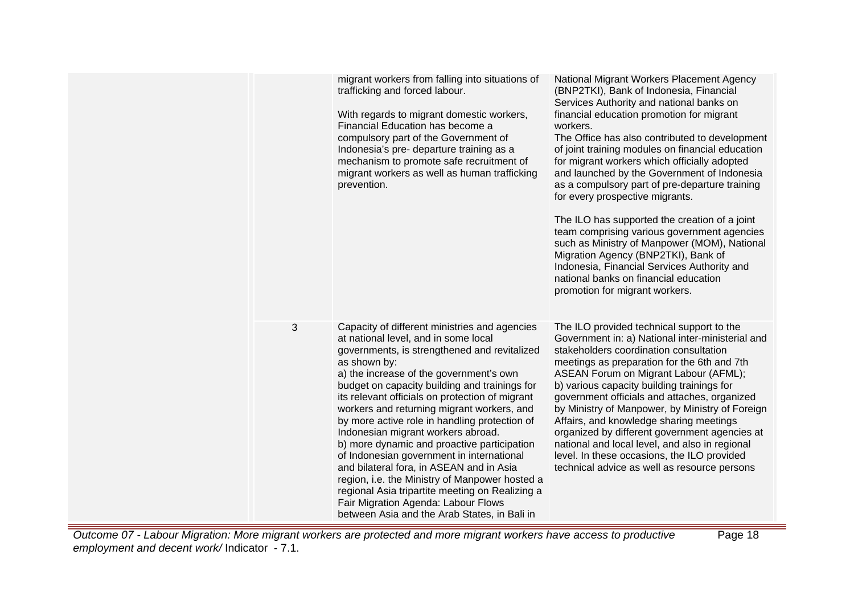|   | migrant workers from falling into situations of<br>trafficking and forced labour.<br>With regards to migrant domestic workers,<br>Financial Education has become a<br>compulsory part of the Government of<br>Indonesia's pre- departure training as a<br>mechanism to promote safe recruitment of<br>migrant workers as well as human trafficking<br>prevention.                                                                                                                                                                                                                                                                                                                                                                                                             | National Migrant Workers Placement Agency<br>(BNP2TKI), Bank of Indonesia, Financial<br>Services Authority and national banks on<br>financial education promotion for migrant<br>workers.<br>The Office has also contributed to development<br>of joint training modules on financial education<br>for migrant workers which officially adopted<br>and launched by the Government of Indonesia<br>as a compulsory part of pre-departure training<br>for every prospective migrants.<br>The ILO has supported the creation of a joint<br>team comprising various government agencies<br>such as Ministry of Manpower (MOM), National<br>Migration Agency (BNP2TKI), Bank of<br>Indonesia, Financial Services Authority and<br>national banks on financial education<br>promotion for migrant workers. |
|---|-------------------------------------------------------------------------------------------------------------------------------------------------------------------------------------------------------------------------------------------------------------------------------------------------------------------------------------------------------------------------------------------------------------------------------------------------------------------------------------------------------------------------------------------------------------------------------------------------------------------------------------------------------------------------------------------------------------------------------------------------------------------------------|------------------------------------------------------------------------------------------------------------------------------------------------------------------------------------------------------------------------------------------------------------------------------------------------------------------------------------------------------------------------------------------------------------------------------------------------------------------------------------------------------------------------------------------------------------------------------------------------------------------------------------------------------------------------------------------------------------------------------------------------------------------------------------------------------|
| 3 | Capacity of different ministries and agencies<br>at national level, and in some local<br>governments, is strengthened and revitalized<br>as shown by:<br>a) the increase of the government's own<br>budget on capacity building and trainings for<br>its relevant officials on protection of migrant<br>workers and returning migrant workers, and<br>by more active role in handling protection of<br>Indonesian migrant workers abroad.<br>b) more dynamic and proactive participation<br>of Indonesian government in international<br>and bilateral fora, in ASEAN and in Asia<br>region, i.e. the Ministry of Manpower hosted a<br>regional Asia tripartite meeting on Realizing a<br>Fair Migration Agenda: Labour Flows<br>between Asia and the Arab States, in Bali in | The ILO provided technical support to the<br>Government in: a) National inter-ministerial and<br>stakeholders coordination consultation<br>meetings as preparation for the 6th and 7th<br>ASEAN Forum on Migrant Labour (AFML);<br>b) various capacity building trainings for<br>government officials and attaches, organized<br>by Ministry of Manpower, by Ministry of Foreign<br>Affairs, and knowledge sharing meetings<br>organized by different government agencies at<br>national and local level, and also in regional<br>level. In these occasions, the ILO provided<br>technical advice as well as resource persons                                                                                                                                                                        |

Outcome 07 - Labour Migration: More migrant workers are protected and more migrant workers have access to productive employment and decent work/ Indicator - 7.1.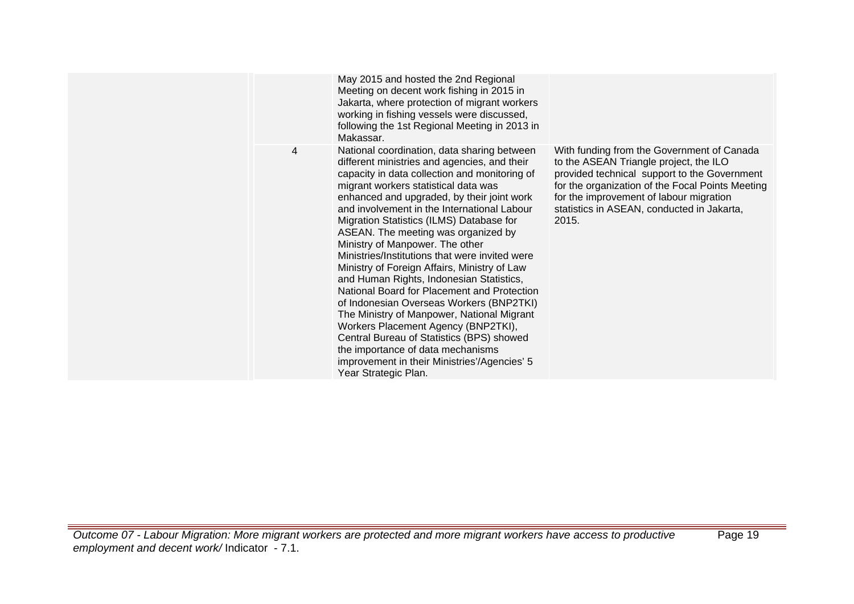|   | May 2015 and hosted the 2nd Regional<br>Meeting on decent work fishing in 2015 in<br>Jakarta, where protection of migrant workers<br>working in fishing vessels were discussed,<br>following the 1st Regional Meeting in 2013 in<br>Makassar.                                                                                                                                                                                                                                                                                                                                                                                                                                                                                                                                                                                                                                                   |                                                                                                                                                                                                                                                                                            |
|---|-------------------------------------------------------------------------------------------------------------------------------------------------------------------------------------------------------------------------------------------------------------------------------------------------------------------------------------------------------------------------------------------------------------------------------------------------------------------------------------------------------------------------------------------------------------------------------------------------------------------------------------------------------------------------------------------------------------------------------------------------------------------------------------------------------------------------------------------------------------------------------------------------|--------------------------------------------------------------------------------------------------------------------------------------------------------------------------------------------------------------------------------------------------------------------------------------------|
| 4 | National coordination, data sharing between<br>different ministries and agencies, and their<br>capacity in data collection and monitoring of<br>migrant workers statistical data was<br>enhanced and upgraded, by their joint work<br>and involvement in the International Labour<br>Migration Statistics (ILMS) Database for<br>ASEAN. The meeting was organized by<br>Ministry of Manpower. The other<br>Ministries/Institutions that were invited were<br>Ministry of Foreign Affairs, Ministry of Law<br>and Human Rights, Indonesian Statistics,<br>National Board for Placement and Protection<br>of Indonesian Overseas Workers (BNP2TKI)<br>The Ministry of Manpower, National Migrant<br>Workers Placement Agency (BNP2TKI),<br>Central Bureau of Statistics (BPS) showed<br>the importance of data mechanisms<br>improvement in their Ministries'/Agencies' 5<br>Year Strategic Plan. | With funding from the Government of Canada<br>to the ASEAN Triangle project, the ILO<br>provided technical support to the Government<br>for the organization of the Focal Points Meeting<br>for the improvement of labour migration<br>statistics in ASEAN, conducted in Jakarta,<br>2015. |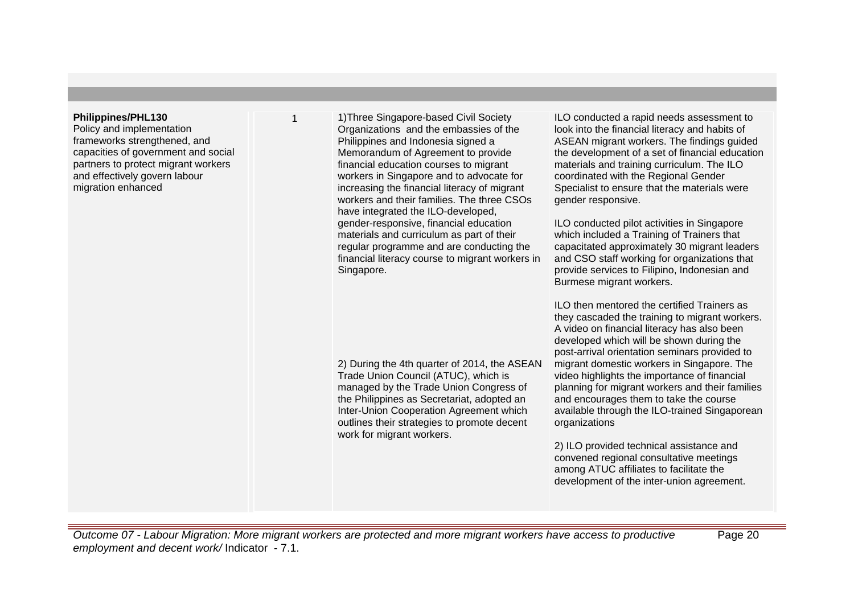#### **Philippines/PHL130**

Policy and implementation frameworks strengthened, and capacities of government and social partners to protect migrant workers and effectively govern labour migration enhanced

1 1)Three Singapore-based Civil Society Organizations and the embassies of the Philippines and Indonesia signed a Memorandum of Agreement to provide financial education courses to migrant workers in Singapore and to advocate for increasing the financial literacy of migrant workers and their families. The three CSOs have integrated the ILO-developed, gender-responsive, financial education materials and curriculum as part of their regular programme and are conducting the financial literacy course to migrant workers in Singapore.

2) During the 4th quarter of 2014, the ASEAN Trade Union Council (ATUC), which is managed by the Trade Union Congress of the Philippines as Secretariat, adopted an Inter-Union Cooperation Agreement which outlines their strategies to promote decent work for migrant workers.

ILO conducted a rapid needs assessment to look into the financial literacy and habits of ASEAN migrant workers. The findings guided the development of a set of financial education materials and training curriculum. The ILO coordinated with the Regional Gender Specialist to ensure that the materials were gender responsive.

ILO conducted pilot activities in Singapore which included a Training of Trainers that capacitated approximately 30 migrant leaders and CSO staff working for organizations that provide services to Filipino, Indonesian and Burmese migrant workers.

ILO then mentored the certified Trainers as they cascaded the training to migrant workers. A video on financial literacy has also been developed which will be shown during the post-arrival orientation seminars provided to migrant domestic workers in Singapore. The video highlights the importance of financial planning for migrant workers and their families and encourages them to take the course available through the ILO-trained Singaporean organizations

2) ILO provided technical assistance and convened regional consultative meetings among ATUC affiliates to facilitate the development of the inter-union agreement.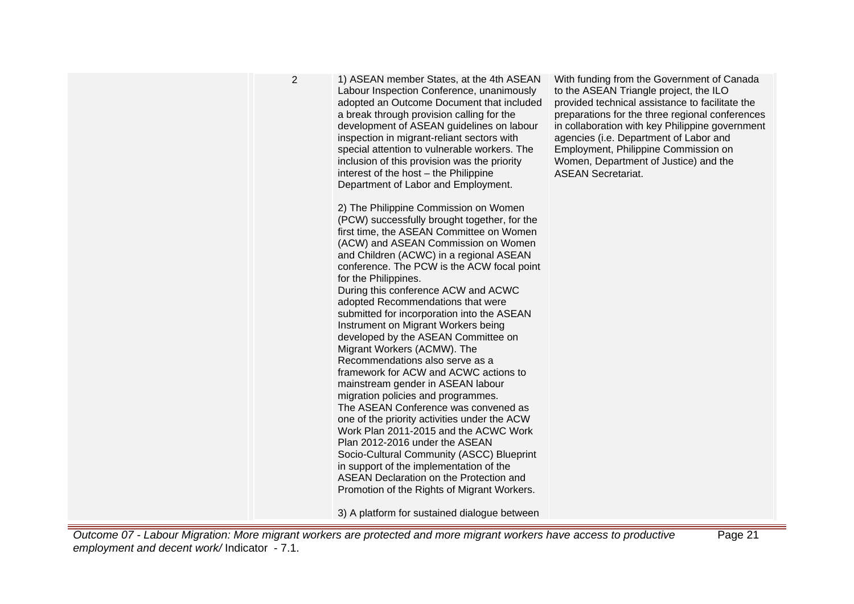| 2 | 1) ASEAN member States, at the 4th ASEAN<br>Labour Inspection Conference, unanimously<br>adopted an Outcome Document that included<br>a break through provision calling for the<br>development of ASEAN guidelines on labour<br>inspection in migrant-reliant sectors with<br>special attention to vulnerable workers. The<br>inclusion of this provision was the priority<br>interest of the host - the Philippine<br>Department of Labor and Employment.                                                                                                                                                                                                                                                                                                                                                                                                                                                                                                                                                                                          | Wi<br>to<br>pro<br>pre<br>in l<br>ag<br>En<br>W<br><b>AS</b> |
|---|-----------------------------------------------------------------------------------------------------------------------------------------------------------------------------------------------------------------------------------------------------------------------------------------------------------------------------------------------------------------------------------------------------------------------------------------------------------------------------------------------------------------------------------------------------------------------------------------------------------------------------------------------------------------------------------------------------------------------------------------------------------------------------------------------------------------------------------------------------------------------------------------------------------------------------------------------------------------------------------------------------------------------------------------------------|--------------------------------------------------------------|
|   | 2) The Philippine Commission on Women<br>(PCW) successfully brought together, for the<br>first time, the ASEAN Committee on Women<br>(ACW) and ASEAN Commission on Women<br>and Children (ACWC) in a regional ASEAN<br>conference. The PCW is the ACW focal point<br>for the Philippines.<br>During this conference ACW and ACWC<br>adopted Recommendations that were<br>submitted for incorporation into the ASEAN<br>Instrument on Migrant Workers being<br>developed by the ASEAN Committee on<br>Migrant Workers (ACMW). The<br>Recommendations also serve as a<br>framework for ACW and ACWC actions to<br>mainstream gender in ASEAN labour<br>migration policies and programmes.<br>The ASEAN Conference was convened as<br>one of the priority activities under the ACW<br>Work Plan 2011-2015 and the ACWC Work<br>Plan 2012-2016 under the ASEAN<br>Socio-Cultural Community (ASCC) Blueprint<br>in support of the implementation of the<br><b>ASEAN Declaration on the Protection and</b><br>Promotion of the Rights of Migrant Workers. |                                                              |

3) A platform for sustained dialogue between

Outcome 07 - Labour Migration: More migrant workers are protected and more migrant workers have access to productive employment and decent work/ Indicator - 7.1.

ith funding from the Government of Canada the ASEAN Triangle project, the ILO pvided technical assistance to facilitate the eparations for the three regional conferences collaboration with key Philippine government encies (i.e. Department of Labor and <sub>.</sub><br>mployment, Philippine Commission on omen, Department of Justice) and the **SEAN Secretariat.**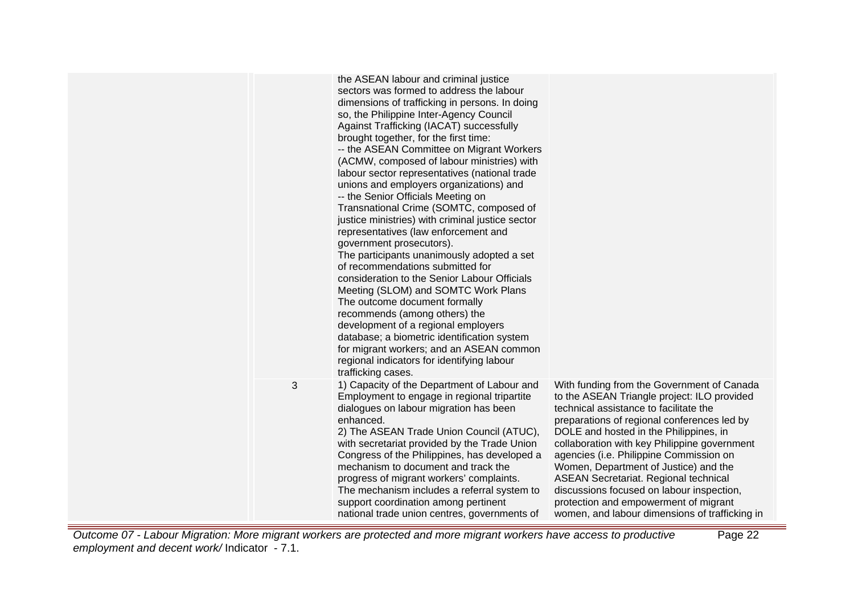|   | the ASEAN labour and criminal justice<br>sectors was formed to address the labour<br>dimensions of trafficking in persons. In doing<br>so, the Philippine Inter-Agency Council<br>Against Trafficking (IACAT) successfully<br>brought together, for the first time:<br>-- the ASEAN Committee on Migrant Workers<br>(ACMW, composed of labour ministries) with<br>labour sector representatives (national trade<br>unions and employers organizations) and<br>-- the Senior Officials Meeting on<br>Transnational Crime (SOMTC, composed of<br>justice ministries) with criminal justice sector<br>representatives (law enforcement and<br>government prosecutors).<br>The participants unanimously adopted a set<br>of recommendations submitted for<br>consideration to the Senior Labour Officials<br>Meeting (SLOM) and SOMTC Work Plans<br>The outcome document formally<br>recommends (among others) the<br>development of a regional employers<br>database; a biometric identification system<br>for migrant workers; and an ASEAN common<br>regional indicators for identifying labour<br>trafficking cases. |                                                                                                                                                                                                                                                                                                                                                                                                                                                                                                                                                          |
|---|----------------------------------------------------------------------------------------------------------------------------------------------------------------------------------------------------------------------------------------------------------------------------------------------------------------------------------------------------------------------------------------------------------------------------------------------------------------------------------------------------------------------------------------------------------------------------------------------------------------------------------------------------------------------------------------------------------------------------------------------------------------------------------------------------------------------------------------------------------------------------------------------------------------------------------------------------------------------------------------------------------------------------------------------------------------------------------------------------------------------|----------------------------------------------------------------------------------------------------------------------------------------------------------------------------------------------------------------------------------------------------------------------------------------------------------------------------------------------------------------------------------------------------------------------------------------------------------------------------------------------------------------------------------------------------------|
| 3 | 1) Capacity of the Department of Labour and<br>Employment to engage in regional tripartite<br>dialogues on labour migration has been<br>enhanced.<br>2) The ASEAN Trade Union Council (ATUC),<br>with secretariat provided by the Trade Union<br>Congress of the Philippines, has developed a<br>mechanism to document and track the<br>progress of migrant workers' complaints.<br>The mechanism includes a referral system to<br>support coordination among pertinent<br>national trade union centres, governments of                                                                                                                                                                                                                                                                                                                                                                                                                                                                                                                                                                                              | With funding from the Government of Canada<br>to the ASEAN Triangle project: ILO provided<br>technical assistance to facilitate the<br>preparations of regional conferences led by<br>DOLE and hosted in the Philippines, in<br>collaboration with key Philippine government<br>agencies (i.e. Philippine Commission on<br>Women, Department of Justice) and the<br><b>ASEAN Secretariat. Regional technical</b><br>discussions focused on labour inspection,<br>protection and empowerment of migrant<br>women, and labour dimensions of trafficking in |

Outcome 07 - Labour Migration: More migrant workers are protected and more migrant workers have access to productive employment and decent work/ Indicator - 7.1. Page 22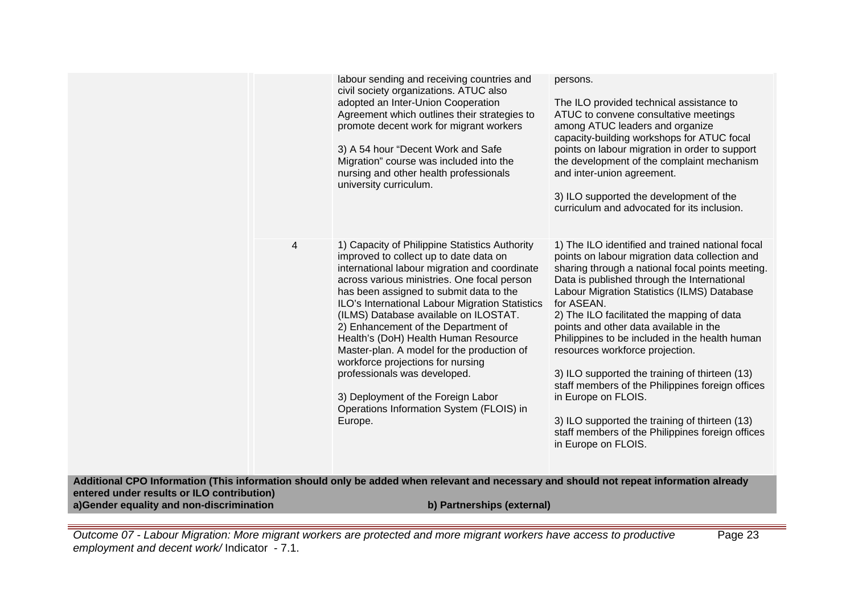|                                                                                                                                         |   | labour sending and receiving countries and<br>civil society organizations. ATUC also<br>adopted an Inter-Union Cooperation<br>Agreement which outlines their strategies to<br>promote decent work for migrant workers<br>3) A 54 hour "Decent Work and Safe<br>Migration" course was included into the<br>nursing and other health professionals<br>university curriculum.                                                                                                                                                                                                                                                     | persons.<br>The ILO provided technical assistance to<br>ATUC to convene consultative meetings<br>among ATUC leaders and organize<br>capacity-building workshops for ATUC focal<br>points on labour migration in order to support<br>the development of the complaint mechanism<br>and inter-union agreement.<br>3) ILO supported the development of the<br>curriculum and advocated for its inclusion.                                                                                                                                                                                                                                                                                                    |
|-----------------------------------------------------------------------------------------------------------------------------------------|---|--------------------------------------------------------------------------------------------------------------------------------------------------------------------------------------------------------------------------------------------------------------------------------------------------------------------------------------------------------------------------------------------------------------------------------------------------------------------------------------------------------------------------------------------------------------------------------------------------------------------------------|-----------------------------------------------------------------------------------------------------------------------------------------------------------------------------------------------------------------------------------------------------------------------------------------------------------------------------------------------------------------------------------------------------------------------------------------------------------------------------------------------------------------------------------------------------------------------------------------------------------------------------------------------------------------------------------------------------------|
|                                                                                                                                         | 4 | 1) Capacity of Philippine Statistics Authority<br>improved to collect up to date data on<br>international labour migration and coordinate<br>across various ministries. One focal person<br>has been assigned to submit data to the<br>ILO's International Labour Migration Statistics<br>(ILMS) Database available on ILOSTAT.<br>2) Enhancement of the Department of<br>Health's (DoH) Health Human Resource<br>Master-plan. A model for the production of<br>workforce projections for nursing<br>professionals was developed.<br>3) Deployment of the Foreign Labor<br>Operations Information System (FLOIS) in<br>Europe. | 1) The ILO identified and trained national focal<br>points on labour migration data collection and<br>sharing through a national focal points meeting.<br>Data is published through the International<br>Labour Migration Statistics (ILMS) Database<br>for ASEAN.<br>2) The ILO facilitated the mapping of data<br>points and other data available in the<br>Philippines to be included in the health human<br>resources workforce projection.<br>3) ILO supported the training of thirteen (13)<br>staff members of the Philippines foreign offices<br>in Europe on FLOIS.<br>3) ILO supported the training of thirteen (13)<br>staff members of the Philippines foreign offices<br>in Europe on FLOIS. |
| Additional CPO Information (This information should only be added when relevant and necessary and should not repeat information already |   |                                                                                                                                                                                                                                                                                                                                                                                                                                                                                                                                                                                                                                |                                                                                                                                                                                                                                                                                                                                                                                                                                                                                                                                                                                                                                                                                                           |

**entered under results or ILO contribution)**

**a)Gender equality and non-discrimination b) Partnerships (external)**

Outcome 07 - Labour Migration: More migrant workers are protected and more migrant workers have access to productive employment and decent work/Indicator - 7.1.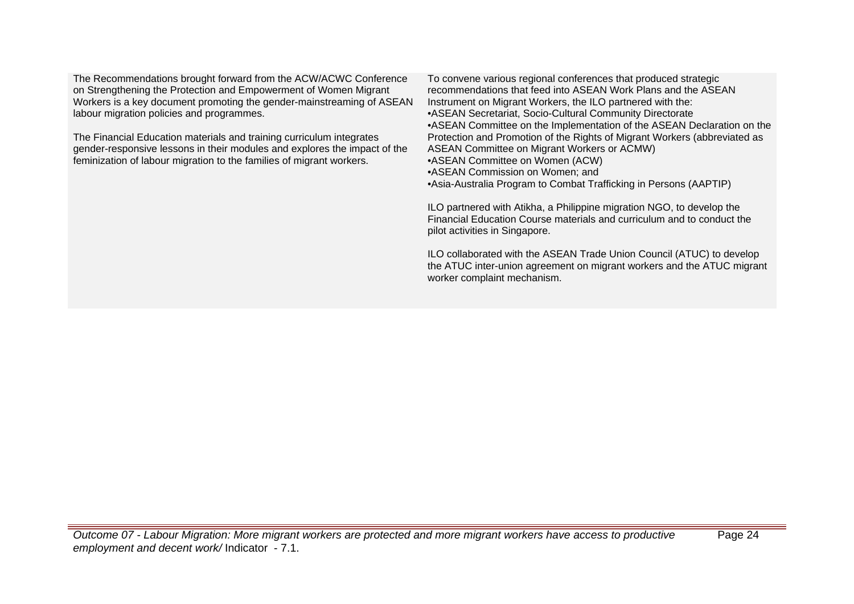The Recommendations brought forward from the ACW/ACWC Conference on Strengthening the Protection and Empowerment of Women Migrant Workers is a key document promoting the gender-mainstreaming of ASEAN labour migration policies and programmes.

The Financial Education materials and training curriculum integrates gender-responsive lessons in their modules and explores the impact of the feminization of labour migration to the families of migrant workers.

To convene various regional conferences that produced strategic recommendations that feed into ASEAN Work Plans and the ASEAN Instrument on Migrant Workers, the ILO partnered with the: •ASEAN Secretariat, Socio-Cultural Community Directorate •ASEAN Committee on the Implementation of the ASEAN Declaration on the Protection and Promotion of the Rights of Migrant Workers (abbreviated as ASEAN Committee on Migrant Workers or ACMW) •ASEAN Committee on Women (ACW) •ASEAN Commission on Women; and •Asia-Australia Program to Combat Trafficking in Persons (AAPTIP)

ILO partnered with Atikha, a Philippine migration NGO, to develop the Financial Education Course materials and curriculum and to conduct the pilot activities in Singapore.

ILO collaborated with the ASEAN Trade Union Council (ATUC) to develop the ATUC inter-union agreement on migrant workers and the ATUC migrant worker complaint mechanism.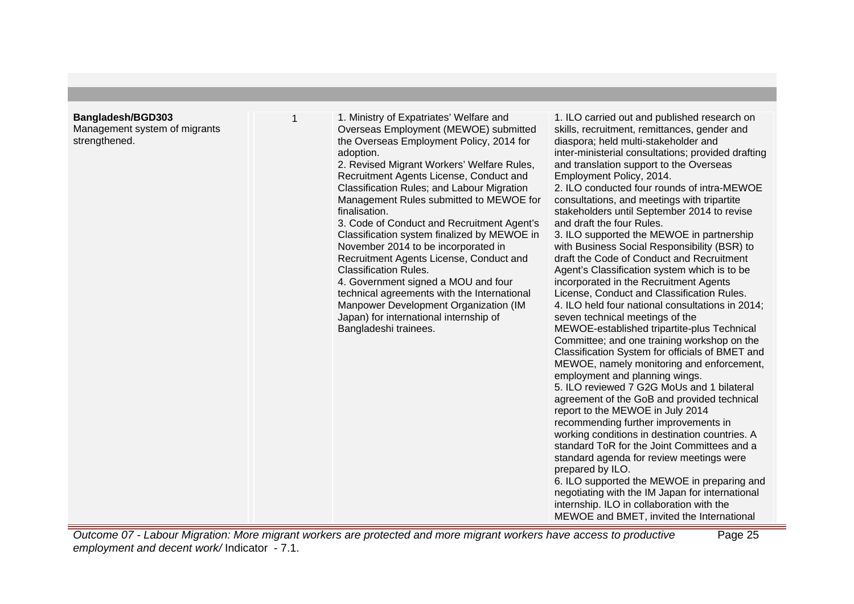## **Bangladesh/BGD303**

Management system of migrants strengthened.

1 1. Ministry of Expatriates' Welfare and Overseas Employment (MEWOE) submitted the Overseas Employment Policy, 2014 for adoption.

2. Revised Migrant Workers' Welfare Rules, Recruitment Agents License, Conduct and Classification Rules; and Labour Migration Management Rules submitted to MEWOE for finalisation.

3. Code of Conduct and Recruitment Agent's Classification system finalized by MEWOE in November 2014 to be incorporated in Recruitment Agents License, Conduct and Classification Rules.

4. Government signed a MOU and four technical agreements with the International Manpower Development Organization (IM Japan) for international internship of Bangladeshi trainees.

1. ILO carried out and published research on skills, recruitment, remittances, gender and diaspora; held multi-stakeholder and inter-ministerial consultations; provided drafting and translation support to the Overseas Employment Policy, 2014.

2. ILO conducted four rounds of intra-MEWOE consultations, and meetings with tripartite stakeholders until September 2014 to revise and draft the four Rules.

3. ILO supported the MEWOE in partnership with Business Social Responsibility (BSR) to draft the Code of Conduct and Recruitment Agent's Classification system which is to be incorporated in the Recruitment Agents License, Conduct and Classification Rules. 4. ILO held four national consultations in 2014; seven technical meetings of the MEWOE-established tripartite-plus Technical Committee; and one training workshop on the Classification System for officials of BMET and MEWOE, namely monitoring and enforcement, employment and planning wings. 5. ILO reviewed 7 G2G MoUs and 1 bilateral

agreement of the GoB and provided technical report to the MEWOE in July 2014 recommending further improvements in

working conditions in destination countries. A standard ToR for the Joint Committees and a standard agenda for review meetings were prepared by ILO.

6. ILO supported the MEWOE in preparing and negotiating with the IM Japan for international internship. ILO in collaboration with the MEWOE and BMET, invited the International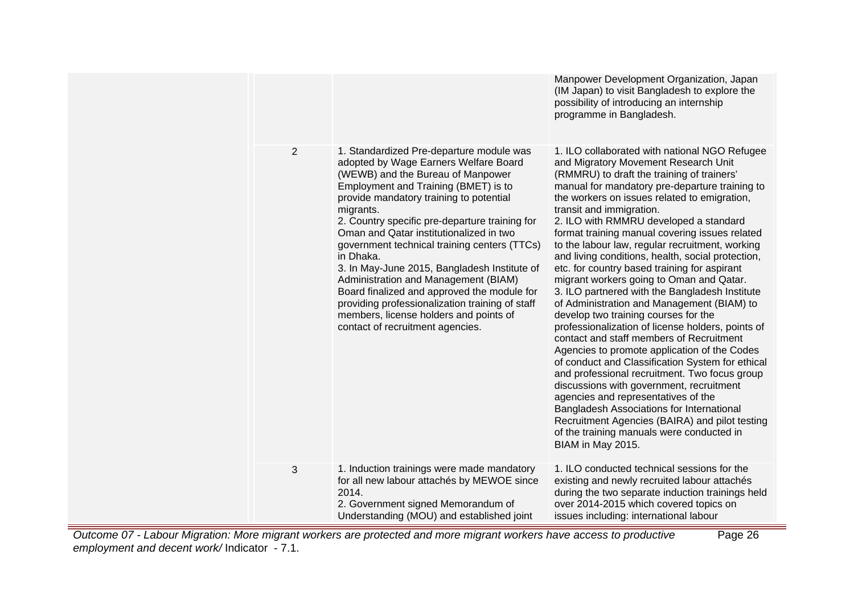|                                                                                                                            |                |                                                                                                                                                                                                                                                                                                                                                                                                                                                                                                                                                                                                                                                          | Manpower Development Organization, Japan<br>(IM Japan) to visit Bangladesh to explore the<br>possibility of introducing an internship<br>programme in Bangladesh.                                                                                                                                                                                                                                                                                                                                                                                                                                                                                                                                                                                                                                                                                                                                                                                                                                                                                                                                                                                                                                                   |
|----------------------------------------------------------------------------------------------------------------------------|----------------|----------------------------------------------------------------------------------------------------------------------------------------------------------------------------------------------------------------------------------------------------------------------------------------------------------------------------------------------------------------------------------------------------------------------------------------------------------------------------------------------------------------------------------------------------------------------------------------------------------------------------------------------------------|---------------------------------------------------------------------------------------------------------------------------------------------------------------------------------------------------------------------------------------------------------------------------------------------------------------------------------------------------------------------------------------------------------------------------------------------------------------------------------------------------------------------------------------------------------------------------------------------------------------------------------------------------------------------------------------------------------------------------------------------------------------------------------------------------------------------------------------------------------------------------------------------------------------------------------------------------------------------------------------------------------------------------------------------------------------------------------------------------------------------------------------------------------------------------------------------------------------------|
|                                                                                                                            | $\overline{2}$ | 1. Standardized Pre-departure module was<br>adopted by Wage Earners Welfare Board<br>(WEWB) and the Bureau of Manpower<br>Employment and Training (BMET) is to<br>provide mandatory training to potential<br>migrants.<br>2. Country specific pre-departure training for<br>Oman and Qatar institutionalized in two<br>government technical training centers (TTCs)<br>in Dhaka.<br>3. In May-June 2015, Bangladesh Institute of<br>Administration and Management (BIAM)<br>Board finalized and approved the module for<br>providing professionalization training of staff<br>members, license holders and points of<br>contact of recruitment agencies. | 1. ILO collaborated with national NGO Refugee<br>and Migratory Movement Research Unit<br>(RMMRU) to draft the training of trainers'<br>manual for mandatory pre-departure training to<br>the workers on issues related to emigration,<br>transit and immigration.<br>2. ILO with RMMRU developed a standard<br>format training manual covering issues related<br>to the labour law, regular recruitment, working<br>and living conditions, health, social protection,<br>etc. for country based training for aspirant<br>migrant workers going to Oman and Qatar.<br>3. ILO partnered with the Bangladesh Institute<br>of Administration and Management (BIAM) to<br>develop two training courses for the<br>professionalization of license holders, points of<br>contact and staff members of Recruitment<br>Agencies to promote application of the Codes<br>of conduct and Classification System for ethical<br>and professional recruitment. Two focus group<br>discussions with government, recruitment<br>agencies and representatives of the<br>Bangladesh Associations for International<br>Recruitment Agencies (BAIRA) and pilot testing<br>of the training manuals were conducted in<br>BIAM in May 2015. |
|                                                                                                                            | 3              | 1. Induction trainings were made mandatory<br>for all new labour attachés by MEWOE since<br>2014.<br>2. Government signed Memorandum of<br>Understanding (MOU) and established joint                                                                                                                                                                                                                                                                                                                                                                                                                                                                     | 1. ILO conducted technical sessions for the<br>existing and newly recruited labour attachés<br>during the two separate induction trainings held<br>over 2014-2015 which covered topics on<br>issues including: international labour                                                                                                                                                                                                                                                                                                                                                                                                                                                                                                                                                                                                                                                                                                                                                                                                                                                                                                                                                                                 |
| me 07 - Labour Migration: More migrant workers are protected and more migrant workers have access to productive<br>Page 26 |                |                                                                                                                                                                                                                                                                                                                                                                                                                                                                                                                                                                                                                                                          |                                                                                                                                                                                                                                                                                                                                                                                                                                                                                                                                                                                                                                                                                                                                                                                                                                                                                                                                                                                                                                                                                                                                                                                                                     |

Outcome 07 - Labour Migration: More migrant workers are protected and more migrant workers have access to productive employment and decent work/ Indicator - 7.1.

═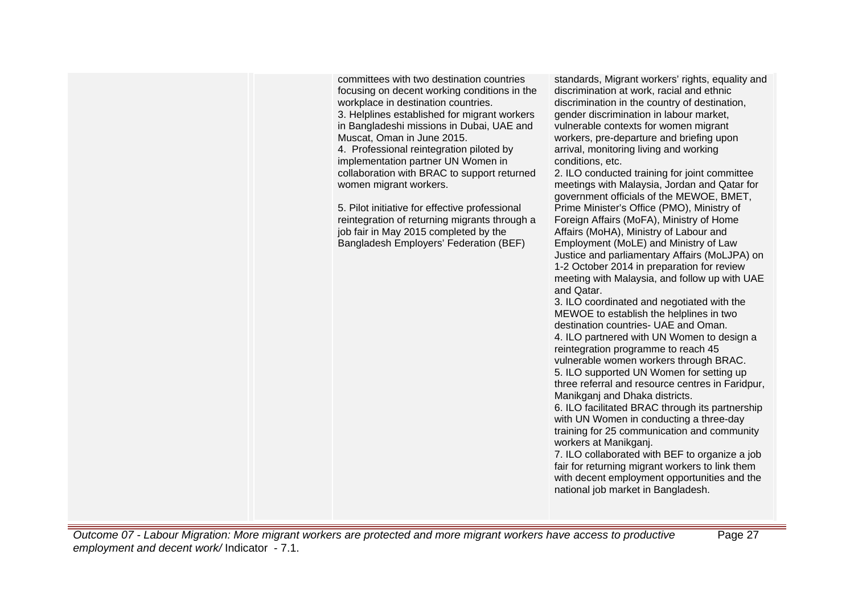committees with two destination countries focusing on decent working conditions in the workplace in destination countries. 3. Helplines established for migrant workers in Bangladeshi missions in Dubai, UAE and Muscat, Oman in June 2015. 4. Professional reintegration piloted by implementation partner UN Women in collaboration with BRAC to support returned women migrant workers.

5. Pilot initiative for effective professional reintegration of returning migrants through a job fair in May 2015 completed by the Bangladesh Employers' Federation (BEF)

standards, Migrant workers' rights, equality and discrimination at work, racial and ethnic discrimination in the country of destination, gender discrimination in labour market, vulnerable contexts for women migrant workers, pre-departure and briefing upon arrival, monitoring living and working conditions, etc.

2. ILO conducted training for joint committee meetings with Malaysia, Jordan and Qatar for government officials of the MEWOE, BMET, Prime Minister's Office (PMO), Ministry of Foreign Affairs (MoFA), Ministry of Home Affairs (MoHA), Ministry of Labour and Employment (MoLE) and Ministry of Law Justice and parliamentary Affairs (MoLJPA) on 1-2 October 2014 in preparation for review meeting with Malaysia, and follow up with UAE and Qatar.

3. ILO coordinated and negotiated with the MEWOE to establish the helplines in two destination countries- UAE and Oman. 4. ILO partnered with UN Women to design a reintegration programme to reach 45 vulnerable women workers through BRAC. 5. ILO supported UN Women for setting up three referral and resource centres in Faridpur, Manikganj and Dhaka districts.

6. ILO facilitated BRAC through its partnership with UN Women in conducting a three-day training for 25 communication and community workers at Manikganj.

7. ILO collaborated with BEF to organize a job fair for returning migrant workers to link them with decent employment opportunities and the national job market in Bangladesh.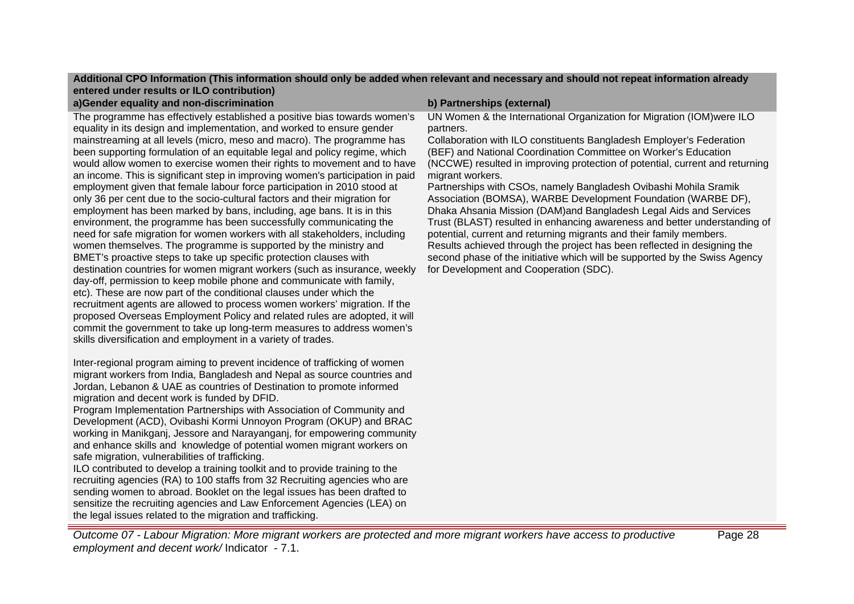# **Additional CPO Information (This information should only be added when relevant and necessary and should not repeat information already entered under results or ILO contribution)**

**a)Gender equality and non-discrimination b) Partnerships (external)**

The programme has effectively established a positive bias towards women's equality in its design and implementation, and worked to ensure gender mainstreaming at all levels (micro, meso and macro). The programme has been supporting formulation of an equitable legal and policy regime, which would allow women to exercise women their rights to movement and to have an income. This is significant step in improving women's participation in paid employment given that female labour force participation in 2010 stood at only 36 per cent due to the socio-cultural factors and their migration for employment has been marked by bans, including, age bans. It is in this environment, the programme has been successfully communicating the need for safe migration for women workers with all stakeholders, including women themselves. The programme is supported by the ministry and BMET's proactive steps to take up specific protection clauses with destination countries for women migrant workers (such as insurance, weekly day-off, permission to keep mobile phone and communicate with family, etc). These are now part of the conditional clauses under which the recruitment agents are allowed to process women workers' migration. If the proposed Overseas Employment Policy and related rules are adopted, it will commit the government to take up long-term measures to address women's skills diversification and employment in a variety of trades.

Inter-regional program aiming to prevent incidence of trafficking of women migrant workers from India, Bangladesh and Nepal as source countries and Jordan, Lebanon & UAE as countries of Destination to promote informed migration and decent work is funded by DFID.

Program Implementation Partnerships with Association of Community and Development (ACD), Ovibashi Kormi Unnoyon Program (OKUP) and BRAC working in Manikganj, Jessore and Narayanganj, for empowering community and enhance skills and knowledge of potential women migrant workers on safe migration, vulnerabilities of trafficking.

ILO contributed to develop a training toolkit and to provide training to the recruiting agencies (RA) to 100 staffs from 32 Recruiting agencies who are sending women to abroad. Booklet on the legal issues has been drafted to sensitize the recruiting agencies and Law Enforcement Agencies (LEA) on the legal issues related to the migration and trafficking.

UN Women & the International Organization for Migration (IOM)were ILO partners.

Collaboration with ILO constituents Bangladesh Employer's Federation (BEF) and National Coordination Committee on Worker's Education (NCCWE) resulted in improving protection of potential, current and returning migrant workers.

Partnerships with CSOs, namely Bangladesh Ovibashi Mohila Sramik Association (BOMSA), WARBE Development Foundation (WARBE DF), Dhaka Ahsania Mission (DAM)and Bangladesh Legal Aids and Services Trust (BLAST) resulted in enhancing awareness and better understanding of potential, current and returning migrants and their family members. Results achieved through the project has been reflected in designing the second phase of the initiative which will be supported by the Swiss Agency for Development and Cooperation (SDC).

Outcome 07 - Labour Migration: More migrant workers are protected and more migrant workers have access to productive employment and decent work/ Indicator - 7.1.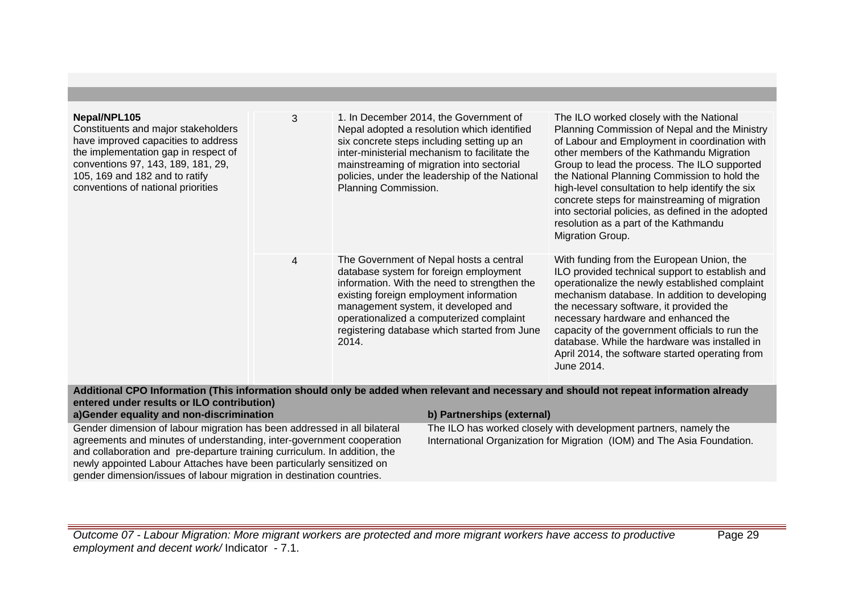| Nepal/NPL105<br>Constituents and major stakeholders<br>have improved capacities to address<br>the implementation gap in respect of<br>conventions 97, 143, 189, 181, 29,<br>105, 169 and 182 and to ratify<br>conventions of national priorities | 3 | 1. In December 2014, the Government of<br>Nepal adopted a resolution which identified<br>six concrete steps including setting up an<br>inter-ministerial mechanism to facilitate the<br>mainstreaming of migration into sectorial<br>policies, under the leadership of the National<br>Planning Commission.              | The ILO worked closely with the National<br>Planning Commission of Nepal and the Ministry<br>of Labour and Employment in coordination with<br>other members of the Kathmandu Migration<br>Group to lead the process. The ILO supported<br>the National Planning Commission to hold the<br>high-level consultation to help identify the six<br>concrete steps for mainstreaming of migration<br>into sectorial policies, as defined in the adopted<br>resolution as a part of the Kathmandu<br>Migration Group. |
|--------------------------------------------------------------------------------------------------------------------------------------------------------------------------------------------------------------------------------------------------|---|--------------------------------------------------------------------------------------------------------------------------------------------------------------------------------------------------------------------------------------------------------------------------------------------------------------------------|----------------------------------------------------------------------------------------------------------------------------------------------------------------------------------------------------------------------------------------------------------------------------------------------------------------------------------------------------------------------------------------------------------------------------------------------------------------------------------------------------------------|
|                                                                                                                                                                                                                                                  | 4 | The Government of Nepal hosts a central<br>database system for foreign employment<br>information. With the need to strengthen the<br>existing foreign employment information<br>management system, it developed and<br>operationalized a computerized complaint<br>registering database which started from June<br>2014. | With funding from the European Union, the<br>ILO provided technical support to establish and<br>operationalize the newly established complaint<br>mechanism database. In addition to developing<br>the necessary software, it provided the<br>necessary hardware and enhanced the<br>capacity of the government officials to run the<br>database. While the hardware was installed in<br>April 2014, the software started operating from<br>June 2014.<br>.                                                    |

# **Additional CPO Information (This information should only be added when relevant and necessary and should not repeat information already entered under results or ILO contribution) a)Gender equality and non-discrimination b) Partnerships (external)**

Gender dimension of labour migration has been addressed in all bilateral agreements and minutes of understanding, inter-government cooperation and collaboration and pre-departure training curriculum. In addition, the newly appointed Labour Attaches have been particularly sensitized on gender dimension/issues of labour migration in destination countries.

The ILO has worked closely with development partners, namely the International Organization for Migration (IOM) and The Asia Foundation.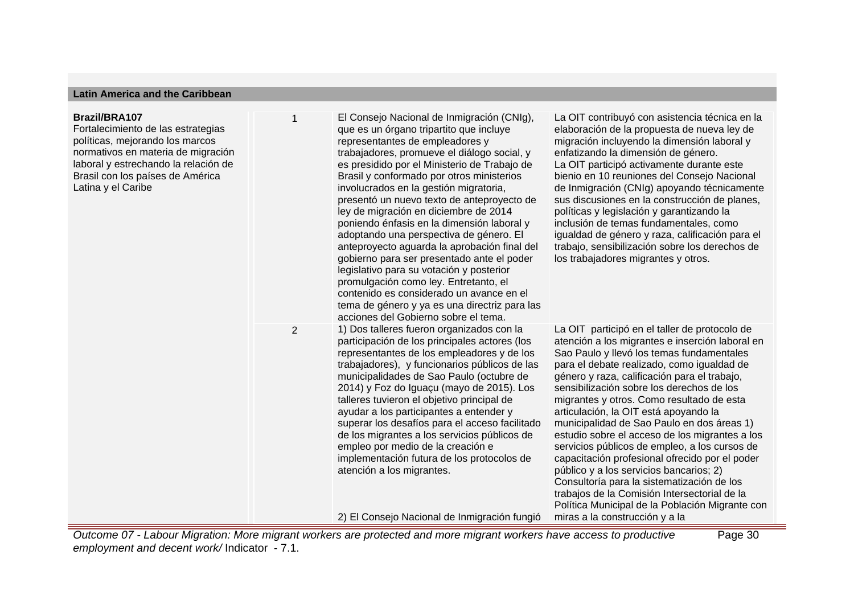#### **Latin America and the Caribbean**

#### **Brazil/BRA107**

Fortalecimiento de las estrategias políticas, mejorando los marcos normativos en materia de migración laboral y estrechando la relación de Brasil con los países de América Latina y el Caribe

1 El Consejo Nacional de Inmigración (CNIg), que es un órgano tripartito que incluye representantes de empleadores y trabajadores, promueve el diálogo social, y es presidido por el Ministerio de Trabajo de Brasil y conformado por otros ministerios involucrados en la gestión migratoria, presentó un nuevo texto de anteproyecto de ley de migración en diciembre de 2014 poniendo énfasis en la dimensión laboral y adoptando una perspectiva de género. El anteproyecto aguarda la aprobación final del gobierno para ser presentado ante el poder legislativo para su votación y posterior promulgación como ley. Entretanto, el contenido es considerado un avance en el tema de género y ya es una directriz para las acciones del Gobierno sobre el tema. 2 1) Dos talleres fueron organizados con la participación de los principales actores (los representantes de los empleadores y de los trabajadores), y funcionarios públicos de las municipalidades de Sao Paulo (octubre de 2014) y Foz do Iguaçu (mayo de 2015). Los talleres tuvieron el objetivo principal de ayudar a los participantes a entender y superar los desafíos para el acceso facilitado de los migrantes a los servicios públicos de empleo por medio de la creación e implementación futura de los protocolos de atención a los migrantes.

2) El Consejo Nacional de Inmigración fungió

La OIT contribuyó con asistencia técnica en la elaboración de la propuesta de nueva ley de migración incluyendo la dimensión laboral y enfatizando la dimensión de género. La OIT participó activamente durante este bienio en 10 reuniones del Consejo Nacional de Inmigración (CNIg) apoyando técnicamente sus discusiones en la construcción de planes, políticas y legislación y garantizando la inclusión de temas fundamentales, como igualdad de género y raza, calificación para el trabajo, sensibilización sobre los derechos de los trabajadores migrantes y otros.

La OIT participó en el taller de protocolo de atención a los migrantes e inserción laboral en Sao Paulo y llevó los temas fundamentales para el debate realizado, como igualdad de género y raza, calificación para el trabajo, sensibilización sobre los derechos de los migrantes y otros. Como resultado de esta articulación, la OIT está apoyando la municipalidad de Sao Paulo en dos áreas 1) estudio sobre el acceso de los migrantes a los servicios públicos de empleo, a los cursos de capacitación profesional ofrecido por el poder público y a los servicios bancarios; 2) Consultoría para la sistematización de los trabajos de la Comisión Intersectorial de la Política Municipal de la Población Migrante con miras a la construcción y a la

Page 30

Outcome 07 - Labour Migration: More migrant workers are protected and more migrant workers have access to productive employment and decent work/ Indicator - 7.1.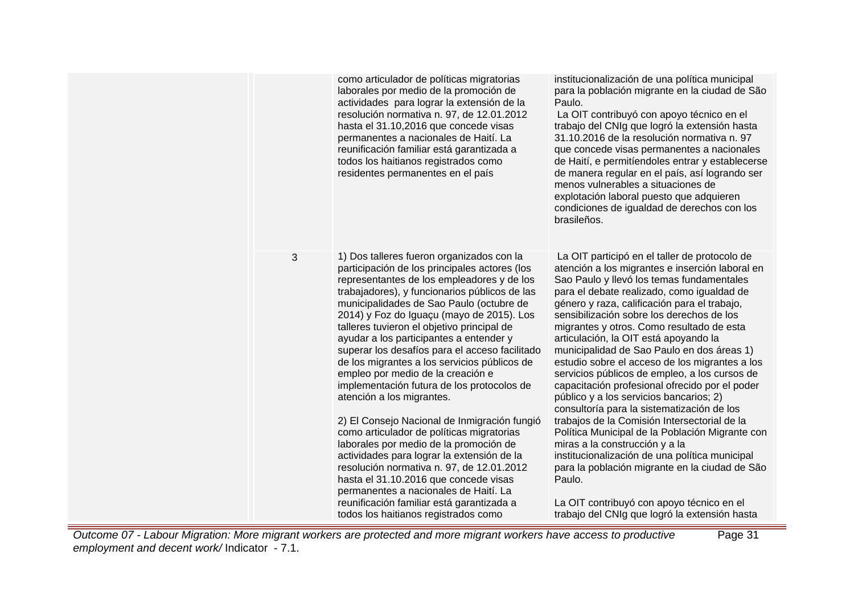|   | como articulador de políticas migratorias<br>laborales por medio de la promoción de<br>actividades para lograr la extensión de la<br>resolución normativa n. 97, de 12.01.2012<br>hasta el 31.10,2016 que concede visas<br>permanentes a nacionales de Haití. La<br>reunificación familiar está garantizada a<br>todos los haitianos registrados como<br>residentes permanentes en el país                                                                                                                                                                                                                                                                                                                                                                                                                                                                                                                                                                                                             | institucionalización de una política municipal<br>para la población migrante en la ciudad de São<br>Paulo.<br>La OIT contribuyó con apoyo técnico en el<br>trabajo del CNIg que logró la extensión hasta<br>31.10.2016 de la resolución normativa n. 97<br>que concede visas permanentes a nacionales<br>de Haití, e permitíendoles entrar y establecerse<br>de manera regular en el país, así logrando ser<br>menos vulnerables a situaciones de<br>explotación laboral puesto que adquieren<br>condiciones de igualdad de derechos con los<br>brasileños.                                                                                                                                                                                                                                                                                                                                                                                                                                                                 |
|---|--------------------------------------------------------------------------------------------------------------------------------------------------------------------------------------------------------------------------------------------------------------------------------------------------------------------------------------------------------------------------------------------------------------------------------------------------------------------------------------------------------------------------------------------------------------------------------------------------------------------------------------------------------------------------------------------------------------------------------------------------------------------------------------------------------------------------------------------------------------------------------------------------------------------------------------------------------------------------------------------------------|-----------------------------------------------------------------------------------------------------------------------------------------------------------------------------------------------------------------------------------------------------------------------------------------------------------------------------------------------------------------------------------------------------------------------------------------------------------------------------------------------------------------------------------------------------------------------------------------------------------------------------------------------------------------------------------------------------------------------------------------------------------------------------------------------------------------------------------------------------------------------------------------------------------------------------------------------------------------------------------------------------------------------------|
| 3 | 1) Dos talleres fueron organizados con la<br>participación de los principales actores (los<br>representantes de los empleadores y de los<br>trabajadores), y funcionarios públicos de las<br>municipalidades de Sao Paulo (octubre de<br>2014) y Foz do Iguaçu (mayo de 2015). Los<br>talleres tuvieron el objetivo principal de<br>ayudar a los participantes a entender y<br>superar los desafíos para el acceso facilitado<br>de los migrantes a los servicios públicos de<br>empleo por medio de la creación e<br>implementación futura de los protocolos de<br>atención a los migrantes.<br>2) El Consejo Nacional de Inmigración fungió<br>como articulador de políticas migratorias<br>laborales por medio de la promoción de<br>actividades para lograr la extensión de la<br>resolución normativa n. 97, de 12.01.2012<br>hasta el 31.10.2016 que concede visas<br>permanentes a nacionales de Haití. La<br>reunificación familiar está garantizada a<br>todos los haitianos registrados como | La OIT participó en el taller de protocolo de<br>atención a los migrantes e inserción laboral en<br>Sao Paulo y llevó los temas fundamentales<br>para el debate realizado, como igualdad de<br>género y raza, calificación para el trabajo,<br>sensibilización sobre los derechos de los<br>migrantes y otros. Como resultado de esta<br>articulación, la OIT está apoyando la<br>municipalidad de Sao Paulo en dos áreas 1)<br>estudio sobre el acceso de los migrantes a los<br>servicios públicos de empleo, a los cursos de<br>capacitación profesional ofrecido por el poder<br>público y a los servicios bancarios; 2)<br>consultoría para la sistematización de los<br>trabajos de la Comisión Intersectorial de la<br>Política Municipal de la Población Migrante con<br>miras a la construcción y a la<br>institucionalización de una política municipal<br>para la población migrante en la ciudad de São<br>Paulo.<br>La OIT contribuyó con apoyo técnico en el<br>trabajo del CNIg que logró la extensión hasta |

Outcome 07 - Labour Migration: More migrant workers are protected and more migrant workers have access to productive employment and decent work/ Indicator - 7.1.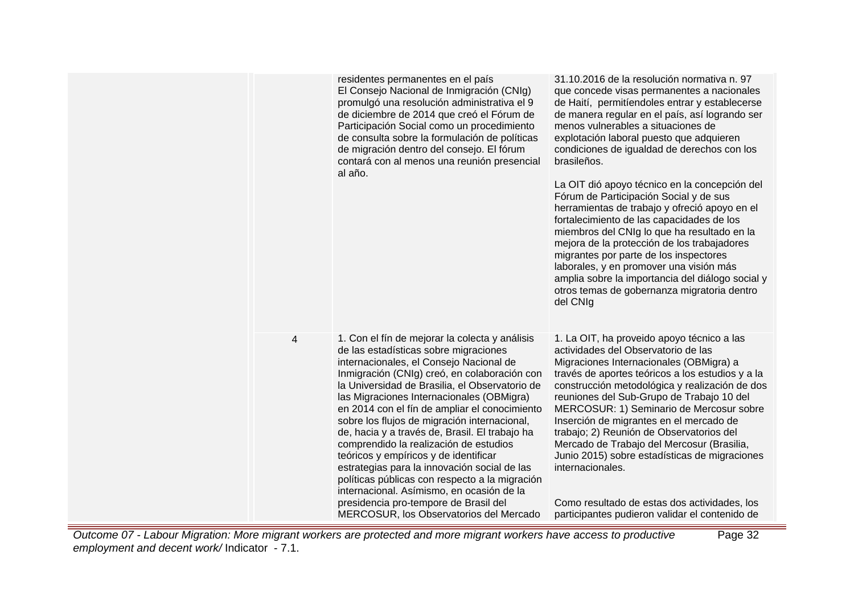|   | residentes permanentes en el país<br>El Consejo Nacional de Inmigración (CNIg)<br>promulgó una resolución administrativa el 9<br>de diciembre de 2014 que creó el Fórum de<br>Participación Social como un procedimiento<br>de consulta sobre la formulación de políticas<br>de migración dentro del consejo. El fórum<br>contará con al menos una reunión presencial<br>al año.                                                                                                                                                                                                                                                                                                                                                                           | 31.10.2016 de la resolución normativa n. 97<br>que concede visas permanentes a nacionales<br>de Haití, permitíendoles entrar y establecerse<br>de manera regular en el país, así logrando ser<br>menos vulnerables a situaciones de<br>explotación laboral puesto que adquieren<br>condiciones de igualdad de derechos con los<br>brasileños.<br>La OIT dió apoyo técnico en la concepción del<br>Fórum de Participación Social y de sus<br>herramientas de trabajo y ofreció apoyo en el<br>fortalecimiento de las capacidades de los<br>miembros del CNIg lo que ha resultado en la<br>mejora de la protección de los trabajadores<br>migrantes por parte de los inspectores<br>laborales, y en promover una visión más<br>amplia sobre la importancia del diálogo social y<br>otros temas de gobernanza migratoria dentro<br>del CNIg |
|---|------------------------------------------------------------------------------------------------------------------------------------------------------------------------------------------------------------------------------------------------------------------------------------------------------------------------------------------------------------------------------------------------------------------------------------------------------------------------------------------------------------------------------------------------------------------------------------------------------------------------------------------------------------------------------------------------------------------------------------------------------------|------------------------------------------------------------------------------------------------------------------------------------------------------------------------------------------------------------------------------------------------------------------------------------------------------------------------------------------------------------------------------------------------------------------------------------------------------------------------------------------------------------------------------------------------------------------------------------------------------------------------------------------------------------------------------------------------------------------------------------------------------------------------------------------------------------------------------------------|
| 4 | 1. Con el fín de mejorar la colecta y análisis<br>de las estadísticas sobre migraciones<br>internacionales, el Consejo Nacional de<br>Inmigración (CNIg) creó, en colaboración con<br>la Universidad de Brasilia, el Observatorio de<br>las Migraciones Internacionales (OBMigra)<br>en 2014 con el fín de ampliar el conocimiento<br>sobre los flujos de migración internacional,<br>de, hacia y a través de, Brasil. El trabajo ha<br>comprendido la realización de estudios<br>teóricos y empíricos y de identificar<br>estrategias para la innovación social de las<br>políticas públicas con respecto a la migración<br>internacional. Asímismo, en ocasión de la<br>presidencia pro-tempore de Brasil del<br>MERCOSUR, los Observatorios del Mercado | 1. La OIT, ha proveido apoyo técnico a las<br>actividades del Observatorio de las<br>Migraciones Internacionales (OBMigra) a<br>través de aportes teóricos a los estudios y a la<br>construcción metodológica y realización de dos<br>reuniones del Sub-Grupo de Trabajo 10 del<br>MERCOSUR: 1) Seminario de Mercosur sobre<br>Inserción de migrantes en el mercado de<br>trabajo; 2) Reunión de Observatorios del<br>Mercado de Trabajo del Mercosur (Brasilia,<br>Junio 2015) sobre estadísticas de migraciones<br>internacionales.<br>Como resultado de estas dos actividades, los<br>participantes pudieron validar el contenido de                                                                                                                                                                                                  |

Outcome 07 - Labour Migration: More migrant workers are protected and more migrant workers have access to productive employment and decent work/ Indicator - 7.1.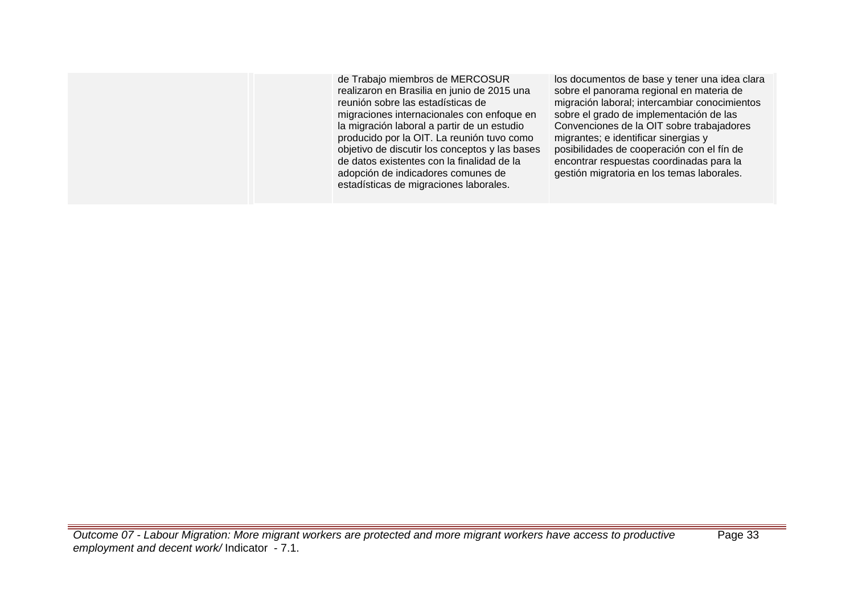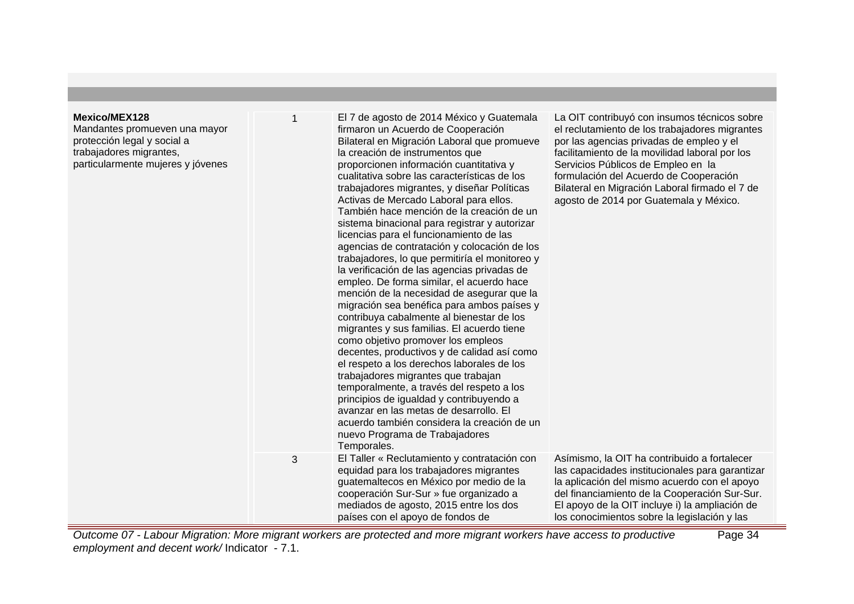#### **Mexico/MEX128**

Mandantes promueven una mayor protección legal y social a trabajadores migrantes, particularmente mujeres y jóvenes

El 7 de agosto de 2014 México y Guatemala firmaron un Acuerdo de Cooperación Bilateral en Migración Laboral que promueve la creación de instrumentos que proporcionen información cuantitativa y cualitativa sobre las características de los trabajadores migrantes, y diseñar Políticas Activas de Mercado Laboral para ellos. También hace mención de la creación de un sistema binacional para registrar y autorizar licencias para el funcionamiento de las agencias de contratación y colocación de los trabajadores, lo que permitiría el monitoreo y la verificación de las agencias privadas de empleo. De forma similar, el acuerdo hace mención de la necesidad de asegurar que la migración sea benéfica para ambos países y contribuya cabalmente al bienestar de los migrantes y sus familias. El acuerdo tiene como objetivo promover los empleos decentes, productivos y de calidad así como el respeto a los derechos laborales de los trabajadores migrantes que trabajan temporalmente, a través del respeto a los principios de igualdad y contribuyendo a avanzar en las metas de desarrollo. El acuerdo también considera la creación de un nuevo Programa de Trabajadores Temporales. La OIT contribuyó con insumos técnicos sobre el reclutamiento de los trabajadores migrantes por las agencias privadas de empleo y el facilitamiento de la movilidad laboral por los Servicios Públicos de Empleo en la formulación del Acuerdo de Cooperación Bilateral en Migración Laboral firmado el 7 de agosto de 2014 por Guatemala y México. 3 El Taller « Reclutamiento y contratación con equidad para los trabajadores migrantes guatemaltecos en México por medio de la cooperación Sur-Sur » fue organizado a mediados de agosto, 2015 entre los dos países con el apoyo de fondos de Asímismo, la OIT ha contribuido a fortalecer las capacidades institucionales para garantizar la aplicación del mismo acuerdo con el apoyo del financiamiento de la Cooperación Sur-Sur. El apoyo de la OIT incluye i) la ampliación de los conocimientos sobre la legislación y las

Outcome 07 - Labour Migration: More migrant workers are protected and more migrant workers have access to productive employment and decent work/ Indicator - 7.1. Page 34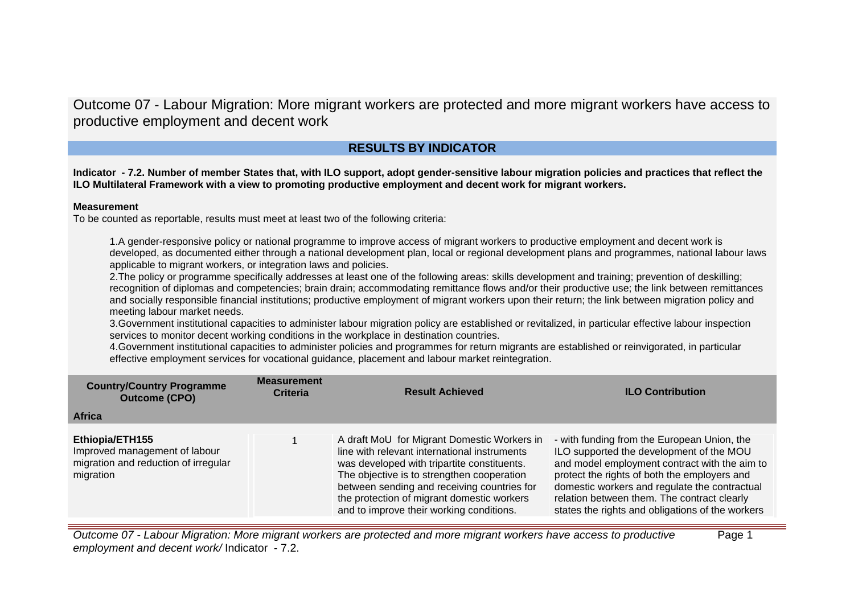Outcome 07 - Labour Migration: More migrant workers are protected and more migrant workers have access to productive employment and decent work

# **RESULTS BY INDICATOR**

**Indicator - 7.2. Number of member States that, with ILO support, adopt gender-sensitive labour migration policies and practices that reflect the ILO Multilateral Framework with a view to promoting productive employment and decent work for migrant workers.**

# **Measurement**

To be counted as reportable, results must meet at least two of the following criteria:

1.A gender-responsive policy or national programme to improve access of migrant workers to productive employment and decent work is developed, as documented either through a national development plan, local or regional development plans and programmes, national labour laws applicable to migrant workers, or integration laws and policies.

2.The policy or programme specifically addresses at least one of the following areas: skills development and training; prevention of deskilling; recognition of diplomas and competencies; brain drain; accommodating remittance flows and/or their productive use; the link between remittances and socially responsible financial institutions; productive employment of migrant workers upon their return; the link between migration policy and meeting labour market needs.

3.Government institutional capacities to administer labour migration policy are established or revitalized, in particular effective labour inspection services to monitor decent working conditions in the workplace in destination countries.

4.Government institutional capacities to administer policies and programmes for return migrants are established or reinvigorated, in particular effective employment services for vocational guidance, placement and labour market reintegration.

| <b>Country/Country Programme</b><br><b>Outcome (CPO)</b>                                              | <b>Measurement</b><br><b>Criteria</b> | <b>Result Achieved</b>                                                                                                                                                                                                                                                                                                            | <b>ILO Contribution</b>                                                                                                                                                                                                                                                                                                                      |
|-------------------------------------------------------------------------------------------------------|---------------------------------------|-----------------------------------------------------------------------------------------------------------------------------------------------------------------------------------------------------------------------------------------------------------------------------------------------------------------------------------|----------------------------------------------------------------------------------------------------------------------------------------------------------------------------------------------------------------------------------------------------------------------------------------------------------------------------------------------|
| <b>Africa</b>                                                                                         |                                       |                                                                                                                                                                                                                                                                                                                                   |                                                                                                                                                                                                                                                                                                                                              |
| Ethiopia/ETH155<br>Improved management of labour<br>migration and reduction of irregular<br>migration |                                       | A draft MoU for Migrant Domestic Workers in<br>line with relevant international instruments<br>was developed with tripartite constituents.<br>The objective is to strengthen cooperation<br>between sending and receiving countries for<br>the protection of migrant domestic workers<br>and to improve their working conditions. | - with funding from the European Union, the<br>ILO supported the development of the MOU<br>and model employment contract with the aim to<br>protect the rights of both the employers and<br>domestic workers and regulate the contractual<br>relation between them. The contract clearly<br>states the rights and obligations of the workers |

Outcome 07 - Labour Migration: More migrant workers are protected and more migrant workers have access to productive employment and decent work/ Indicator - 7.2. Page 1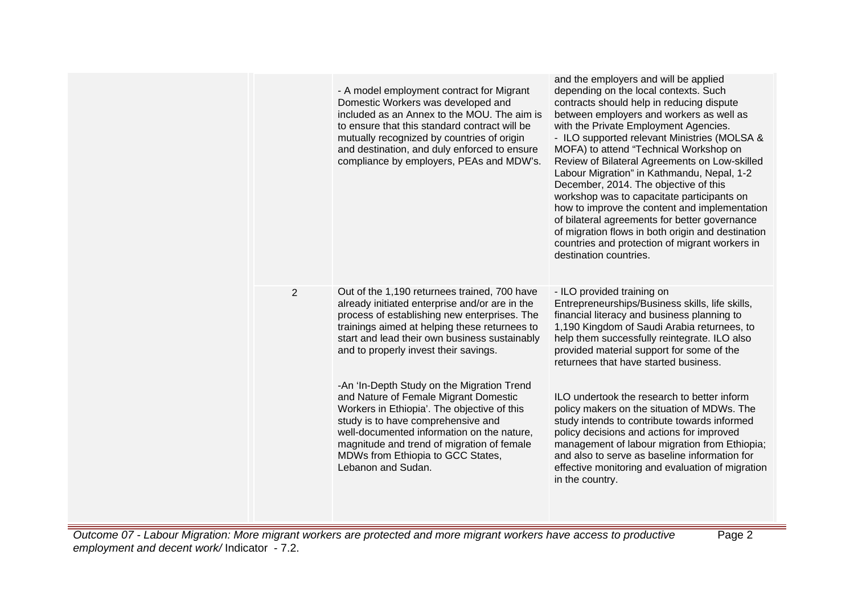|                | - A model employment contract for Migrant<br>Domestic Workers was developed and<br>included as an Annex to the MOU. The aim is<br>to ensure that this standard contract will be<br>mutually recognized by countries of origin<br>and destination, and duly enforced to ensure<br>compliance by employers, PEAs and MDW's.       | and the employers and will be applied<br>depending on the local contexts. Such<br>contracts should help in reducing dispute<br>between employers and workers as well as<br>with the Private Employment Agencies.<br>- ILO supported relevant Ministries (MOLSA &<br>MOFA) to attend "Technical Workshop on<br>Review of Bilateral Agreements on Low-skilled<br>Labour Migration" in Kathmandu, Nepal, 1-2<br>December, 2014. The objective of this<br>workshop was to capacitate participants on<br>how to improve the content and implementation<br>of bilateral agreements for better governance<br>of migration flows in both origin and destination<br>countries and protection of migrant workers in<br>destination countries. |
|----------------|---------------------------------------------------------------------------------------------------------------------------------------------------------------------------------------------------------------------------------------------------------------------------------------------------------------------------------|-------------------------------------------------------------------------------------------------------------------------------------------------------------------------------------------------------------------------------------------------------------------------------------------------------------------------------------------------------------------------------------------------------------------------------------------------------------------------------------------------------------------------------------------------------------------------------------------------------------------------------------------------------------------------------------------------------------------------------------|
| $\overline{2}$ | Out of the 1,190 returnees trained, 700 have<br>already initiated enterprise and/or are in the<br>process of establishing new enterprises. The<br>trainings aimed at helping these returnees to<br>start and lead their own business sustainably<br>and to properly invest their savings.                                       | - ILO provided training on<br>Entrepreneurships/Business skills, life skills,<br>financial literacy and business planning to<br>1,190 Kingdom of Saudi Arabia returnees, to<br>help them successfully reintegrate. ILO also<br>provided material support for some of the<br>returnees that have started business.                                                                                                                                                                                                                                                                                                                                                                                                                   |
|                | -An 'In-Depth Study on the Migration Trend<br>and Nature of Female Migrant Domestic<br>Workers in Ethiopia'. The objective of this<br>study is to have comprehensive and<br>well-documented information on the nature,<br>magnitude and trend of migration of female<br>MDWs from Ethiopia to GCC States,<br>Lebanon and Sudan. | ILO undertook the research to better inform<br>policy makers on the situation of MDWs. The<br>study intends to contribute towards informed<br>policy decisions and actions for improved<br>management of labour migration from Ethiopia;<br>and also to serve as baseline information for<br>effective monitoring and evaluation of migration<br>in the country.                                                                                                                                                                                                                                                                                                                                                                    |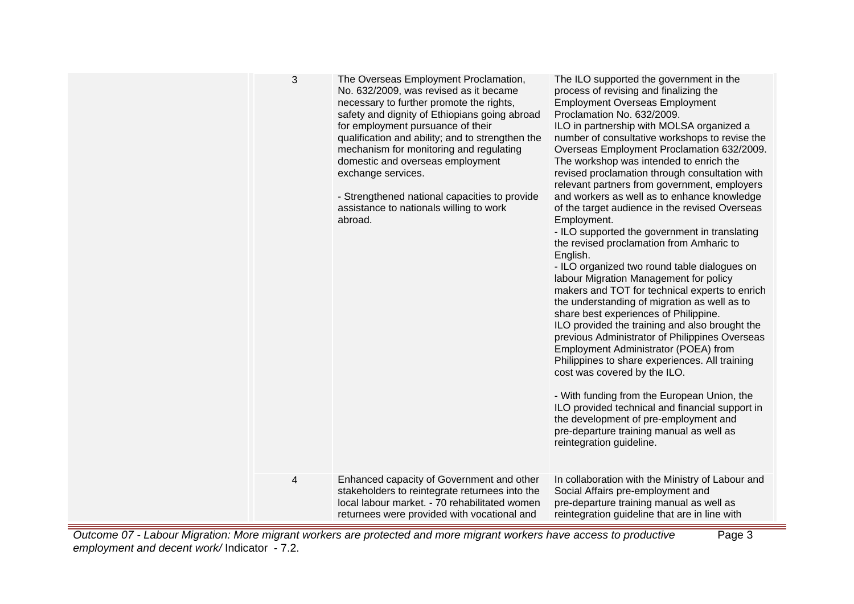| 3<br>4 | The Overseas Employment Proclamation,<br>No. 632/2009, was revised as it became<br>necessary to further promote the rights,<br>safety and dignity of Ethiopians going abroad<br>for employment pursuance of their<br>qualification and ability; and to strengthen the<br>mechanism for monitoring and regulating<br>domestic and overseas employment<br>exchange services.<br>- Strengthened national capacities to provide<br>assistance to nationals willing to work<br>abroad.<br>Enhanced capacity of Government and other | The ILO supported the government in the<br>process of revising and finalizing the<br><b>Employment Overseas Employment</b><br>Proclamation No. 632/2009.<br>ILO in partnership with MOLSA organized a<br>number of consultative workshops to revise the<br>Overseas Employment Proclamation 632/2009.<br>The workshop was intended to enrich the<br>revised proclamation through consultation with<br>relevant partners from government, employers<br>and workers as well as to enhance knowledge<br>of the target audience in the revised Overseas<br>Employment.<br>- ILO supported the government in translating<br>the revised proclamation from Amharic to<br>English.<br>- ILO organized two round table dialogues on<br>labour Migration Management for policy<br>makers and TOT for technical experts to enrich<br>the understanding of migration as well as to<br>share best experiences of Philippine.<br>ILO provided the training and also brought the<br>previous Administrator of Philippines Overseas<br>Employment Administrator (POEA) from<br>Philippines to share experiences. All training<br>cost was covered by the ILO.<br>- With funding from the European Union, the<br>ILO provided technical and financial support in<br>the development of pre-employment and<br>pre-departure training manual as well as<br>reintegration guideline.<br>In collaboration with the Ministry of Labour and |
|--------|--------------------------------------------------------------------------------------------------------------------------------------------------------------------------------------------------------------------------------------------------------------------------------------------------------------------------------------------------------------------------------------------------------------------------------------------------------------------------------------------------------------------------------|-----------------------------------------------------------------------------------------------------------------------------------------------------------------------------------------------------------------------------------------------------------------------------------------------------------------------------------------------------------------------------------------------------------------------------------------------------------------------------------------------------------------------------------------------------------------------------------------------------------------------------------------------------------------------------------------------------------------------------------------------------------------------------------------------------------------------------------------------------------------------------------------------------------------------------------------------------------------------------------------------------------------------------------------------------------------------------------------------------------------------------------------------------------------------------------------------------------------------------------------------------------------------------------------------------------------------------------------------------------------------------------------------------------------------|
|        | stakeholders to reintegrate returnees into the<br>local labour market. - 70 rehabilitated women<br>returnees were provided with vocational and                                                                                                                                                                                                                                                                                                                                                                                 | Social Affairs pre-employment and<br>pre-departure training manual as well as<br>reintegration guideline that are in line with                                                                                                                                                                                                                                                                                                                                                                                                                                                                                                                                                                                                                                                                                                                                                                                                                                                                                                                                                                                                                                                                                                                                                                                                                                                                                        |

Outcome 07 - Labour Migration: More migrant workers are protected and more migrant workers have access to productive employment and decent work/ Indicator - 7.2. Page 3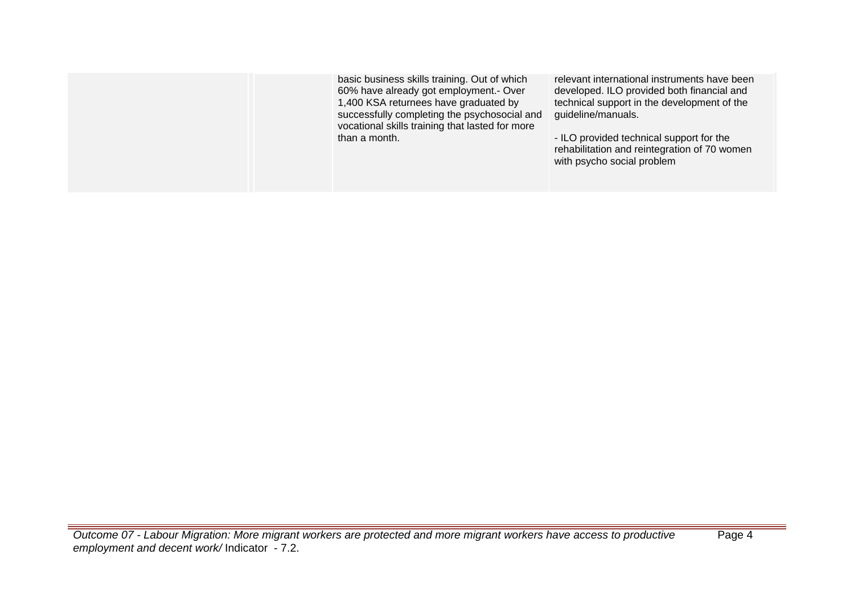| basic business skills training. Out of which<br>60% have already got employment.- Over<br>1,400 KSA returnees have graduated by<br>successfully completing the psychosocial and<br>vocational skills training that lasted for more | relevant international instruments have been<br>developed. ILO provided both financial and<br>technical support in the development of the<br>guideline/manuals. |
|------------------------------------------------------------------------------------------------------------------------------------------------------------------------------------------------------------------------------------|-----------------------------------------------------------------------------------------------------------------------------------------------------------------|
| than a month.                                                                                                                                                                                                                      | - ILO provided technical support for the<br>rehabilitation and reintegration of 70 women<br>with psycho social problem                                          |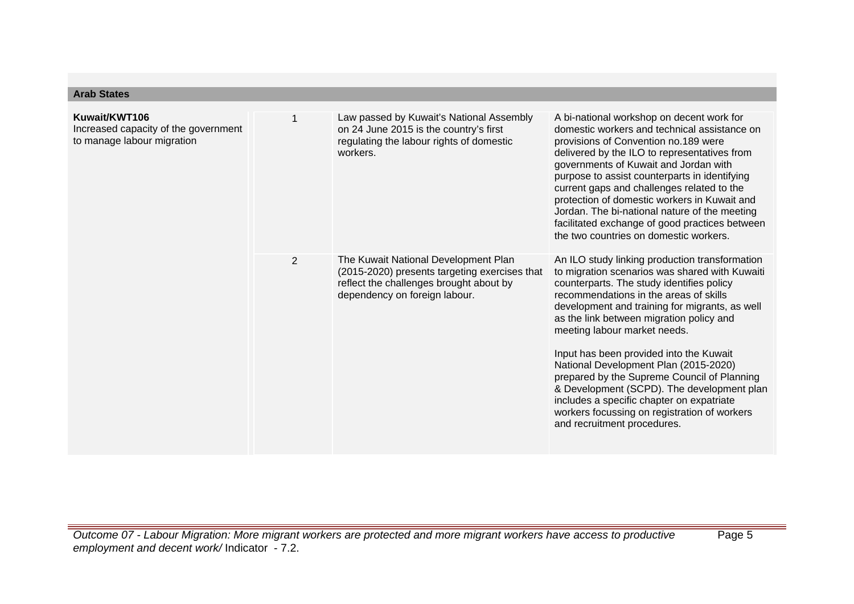| <b>Arab States</b>                                                                  |                |                                                                                                                                                                   |                                                                                                                                                                                                                                                                                                                                                                                                                                                                                                                                                                                                                                    |
|-------------------------------------------------------------------------------------|----------------|-------------------------------------------------------------------------------------------------------------------------------------------------------------------|------------------------------------------------------------------------------------------------------------------------------------------------------------------------------------------------------------------------------------------------------------------------------------------------------------------------------------------------------------------------------------------------------------------------------------------------------------------------------------------------------------------------------------------------------------------------------------------------------------------------------------|
| Kuwait/KWT106<br>Increased capacity of the government<br>to manage labour migration | 1              | Law passed by Kuwait's National Assembly<br>on 24 June 2015 is the country's first<br>regulating the labour rights of domestic<br>workers.                        | A bi-national workshop on decent work for<br>domestic workers and technical assistance on<br>provisions of Convention no.189 were<br>delivered by the ILO to representatives from<br>governments of Kuwait and Jordan with<br>purpose to assist counterparts in identifying<br>current gaps and challenges related to the<br>protection of domestic workers in Kuwait and<br>Jordan. The bi-national nature of the meeting<br>facilitated exchange of good practices between<br>the two countries on domestic workers.                                                                                                             |
|                                                                                     | $\overline{2}$ | The Kuwait National Development Plan<br>(2015-2020) presents targeting exercises that<br>reflect the challenges brought about by<br>dependency on foreign labour. | An ILO study linking production transformation<br>to migration scenarios was shared with Kuwaiti<br>counterparts. The study identifies policy<br>recommendations in the areas of skills<br>development and training for migrants, as well<br>as the link between migration policy and<br>meeting labour market needs.<br>Input has been provided into the Kuwait<br>National Development Plan (2015-2020)<br>prepared by the Supreme Council of Planning<br>& Development (SCPD). The development plan<br>includes a specific chapter on expatriate<br>workers focussing on registration of workers<br>and recruitment procedures. |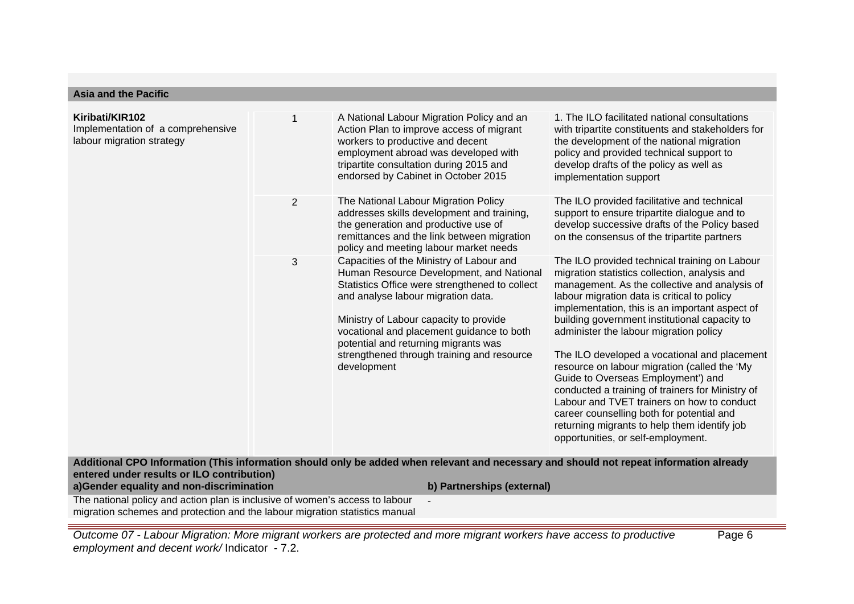# **Asia and the Pacific**

| Kiribati/KIR102<br>Implementation of a comprehensive<br>labour migration strategy | 1              | A National Labour Migration Policy and an<br>Action Plan to improve access of migrant<br>workers to productive and decent<br>employment abroad was developed with<br>tripartite consultation during 2015 and<br>endorsed by Cabinet in October 2015                                                                                                                      | 1. The ILO facilitated national consultations<br>with tripartite constituents and stakeholders for<br>the development of the national migration<br>policy and provided technical support to<br>develop drafts of the policy as well as<br>implementation support                                                                                                                                                                                                                                                                                                                                                                                                                                                       |
|-----------------------------------------------------------------------------------|----------------|--------------------------------------------------------------------------------------------------------------------------------------------------------------------------------------------------------------------------------------------------------------------------------------------------------------------------------------------------------------------------|------------------------------------------------------------------------------------------------------------------------------------------------------------------------------------------------------------------------------------------------------------------------------------------------------------------------------------------------------------------------------------------------------------------------------------------------------------------------------------------------------------------------------------------------------------------------------------------------------------------------------------------------------------------------------------------------------------------------|
|                                                                                   | $\overline{2}$ | The National Labour Migration Policy<br>addresses skills development and training,<br>the generation and productive use of<br>remittances and the link between migration<br>policy and meeting labour market needs                                                                                                                                                       | The ILO provided facilitative and technical<br>support to ensure tripartite dialogue and to<br>develop successive drafts of the Policy based<br>on the consensus of the tripartite partners                                                                                                                                                                                                                                                                                                                                                                                                                                                                                                                            |
|                                                                                   | 3              | Capacities of the Ministry of Labour and<br>Human Resource Development, and National<br>Statistics Office were strengthened to collect<br>and analyse labour migration data.<br>Ministry of Labour capacity to provide<br>vocational and placement guidance to both<br>potential and returning migrants was<br>strengthened through training and resource<br>development | The ILO provided technical training on Labour<br>migration statistics collection, analysis and<br>management. As the collective and analysis of<br>labour migration data is critical to policy<br>implementation, this is an important aspect of<br>building government institutional capacity to<br>administer the labour migration policy<br>The ILO developed a vocational and placement<br>resource on labour migration (called the 'My<br>Guide to Overseas Employment') and<br>conducted a training of trainers for Ministry of<br>Labour and TVET trainers on how to conduct<br>career counselling both for potential and<br>returning migrants to help them identify job<br>opportunities, or self-employment. |
| entered under results or ILO contribution)                                        |                | Additional CPO Information (This information should only be added when relevant and necessary and should not repeat information already                                                                                                                                                                                                                                  |                                                                                                                                                                                                                                                                                                                                                                                                                                                                                                                                                                                                                                                                                                                        |

**a)Gender equality and non-discrimination b) Partnerships (external)**

The national policy and action plan is inclusive of women's access to labour migration schemes and protection and the labour migration statistics manual

Outcome 07 - Labour Migration: More migrant workers are protected and more migrant workers have access to productive employment and decent work/ Indicator - 7.2.

-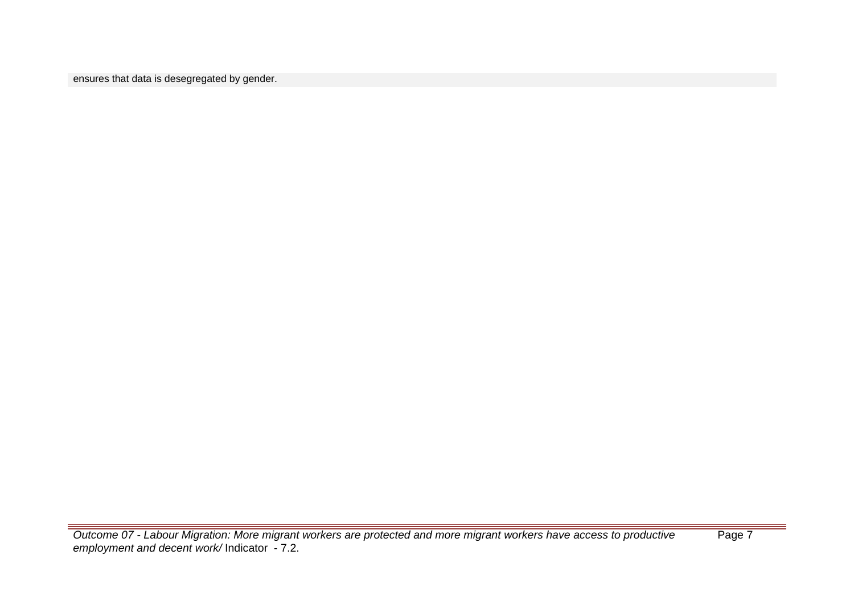ensures that data is desegregated by gender.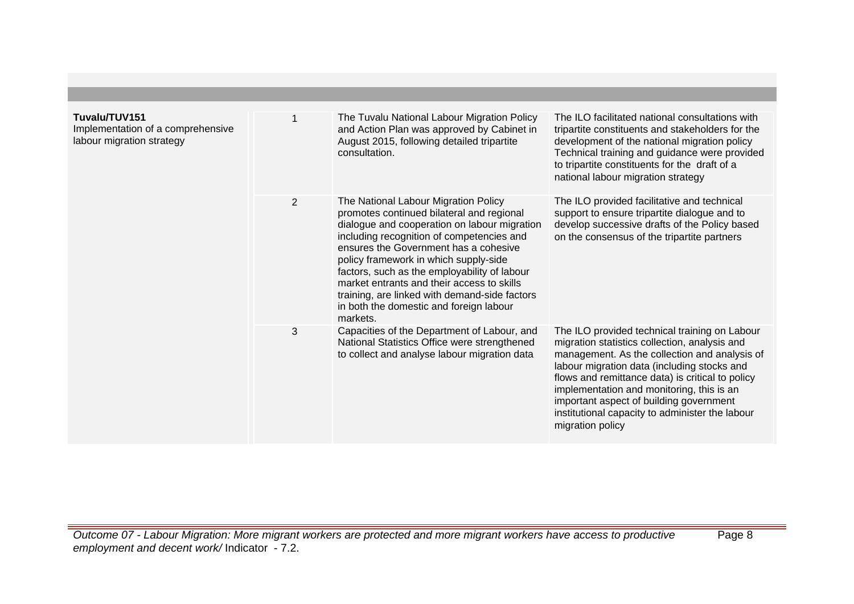| Tuvalu/TUV151<br>Implementation of a comprehensive<br>labour migration strategy |                | The Tuvalu National Labour Migration Policy<br>and Action Plan was approved by Cabinet in<br>August 2015, following detailed tripartite<br>consultation.                                                                                                                                                                                                                                                                                                               | The ILO facilitated national consultations with<br>tripartite constituents and stakeholders for the<br>development of the national migration policy<br>Technical training and guidance were provided<br>to tripartite constituents for the draft of a<br>national labour migration strategy                                                                                                                       |
|---------------------------------------------------------------------------------|----------------|------------------------------------------------------------------------------------------------------------------------------------------------------------------------------------------------------------------------------------------------------------------------------------------------------------------------------------------------------------------------------------------------------------------------------------------------------------------------|-------------------------------------------------------------------------------------------------------------------------------------------------------------------------------------------------------------------------------------------------------------------------------------------------------------------------------------------------------------------------------------------------------------------|
|                                                                                 | $\overline{2}$ | The National Labour Migration Policy<br>promotes continued bilateral and regional<br>dialogue and cooperation on labour migration<br>including recognition of competencies and<br>ensures the Government has a cohesive<br>policy framework in which supply-side<br>factors, such as the employability of labour<br>market entrants and their access to skills<br>training, are linked with demand-side factors<br>in both the domestic and foreign labour<br>markets. | The ILO provided facilitative and technical<br>support to ensure tripartite dialogue and to<br>develop successive drafts of the Policy based<br>on the consensus of the tripartite partners                                                                                                                                                                                                                       |
|                                                                                 | 3              | Capacities of the Department of Labour, and<br>National Statistics Office were strengthened<br>to collect and analyse labour migration data                                                                                                                                                                                                                                                                                                                            | The ILO provided technical training on Labour<br>migration statistics collection, analysis and<br>management. As the collection and analysis of<br>labour migration data (including stocks and<br>flows and remittance data) is critical to policy<br>implementation and monitoring, this is an<br>important aspect of building government<br>institutional capacity to administer the labour<br>migration policy |

Outcome 07 - Labour Migration: More migrant workers are protected and more migrant workers have access to productive employment and decent work/ Indicator - 7.2.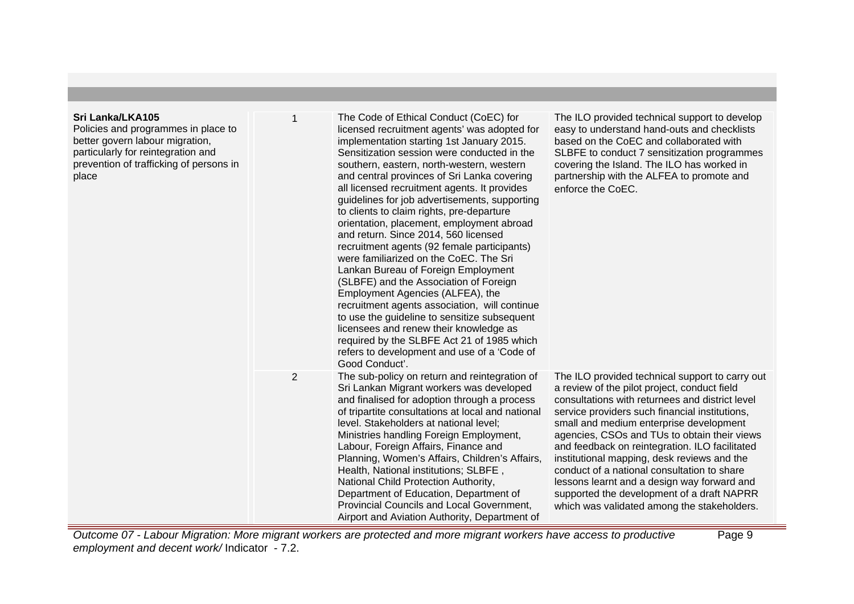# **Sri Lanka/LKA105**

Policies and programmes in place to better govern labour migration, particularly for reintegration and prevention of trafficking of persons in place

1 The Code of Ethical Conduct (CoEC) for licensed recruitment agents' was adopted for implementation starting 1st January 2015. Sensitization session were conducted in the southern, eastern, north-western, western and central provinces of Sri Lanka covering all licensed recruitment agents. It provides guidelines for job advertisements, supporting to clients to claim rights, pre-departure orientation, placement, employment abroad and return. Since 2014, 560 licensed recruitment agents (92 female participants) were familiarized on the CoEC. The Sri Lankan Bureau of Foreign Employment (SLBFE) and the Association of Foreign Employment Agencies (ALFEA), the recruitment agents association, will continue to use the guideline to sensitize subsequent licensees and renew their knowledge as required by the SLBFE Act 21 of 1985 which refers to development and use of a 'Code of Good Conduct'. enforce the CoEC. 2 The sub-policy on return and reintegration of Sri Lankan Migrant workers was developed and finalised for adoption through a process of tripartite consultations at local and national level. Stakeholders at national level; Ministries handling Foreign Employment, Labour, Foreign Affairs, Finance and Planning, Women's Affairs, Children's Affairs, Health, National institutions; SLBFE , National Child Protection Authority, Department of Education, Department of Provincial Councils and Local Government, Airport and Aviation Authority, Department of The ILO provided technical support to carry out a review of the pilot project, conduct field consultations with returnees and district level service providers such financial institutions, small and medium enterprise development agencies, CSOs and TUs to obtain their views and feedback on reintegration. ILO facilitated institutional mapping, desk reviews and the conduct of a national consultation to share lessons learnt and a design way forward and supported the development of a draft NAPRR which was validated among the stakeholders.

The ILO provided technical support to develop easy to understand hand-outs and checklists based on the CoEC and collaborated with SLBFE to conduct 7 sensitization programmes covering the Island. The ILO has worked in partnership with the ALFEA to promote and

Page 9

Outcome 07 - Labour Migration: More migrant workers are protected and more migrant workers have access to productive employment and decent work/ Indicator - 7.2.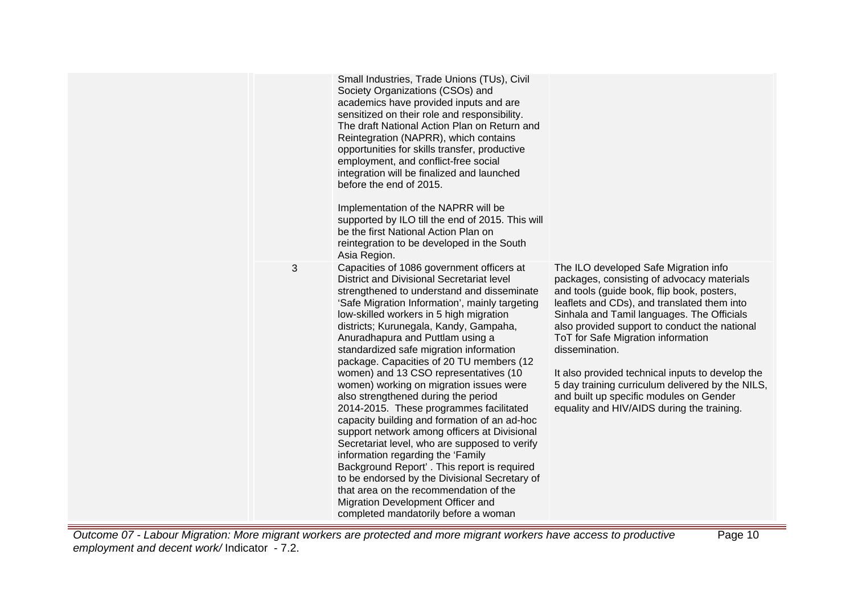Small Industries, Trade Unions (TUs), Civil Society Organizations (CSOs) and academics have provided inputs and are sensitized on their role and responsibility. The draft National Action Plan on Return and Reintegration (NAPRR), which contains opportunities for skills transfer, productive employment, and conflict-free social integration will be finalized and launched before the end of 2015.

Implementation of the NAPRR will be supported by ILO till the end of 2015. This will be the first National Action Plan on reintegration to be developed in the South Asia Region.

District and Divisional Secretariat level strengthened to understand and disseminate 'Safe Migration Information', mainly targeting low-skilled workers in 5 high migration districts; Kurunegala, Kandy, Gampaha, Anuradhapura and Puttlam using a standardized safe migration information package. Capacities of 20 TU members (12 women) and 13 CSO representatives (10 women) working on migration issues were also strengthened during the period 2014-2015. These programmes facilitated capacity building and formation of an ad-hoc support network among officers at Divisional Secretariat level, who are supposed to verify

3 Capacities of 1086 government officers at

The ILO developed Safe Migration info packages, consisting of advocacy materials and tools (guide book, flip book, posters, leaflets and CDs), and translated them into Sinhala and Tamil languages. The Officials also provided support to conduct the national ToT for Safe Migration information dissemination.

It also provided technical inputs to develop the 5 day training curriculum delivered by the NILS, and built up specific modules on Gender equality and HIV/AIDS during the training.

Outcome 07 - Labour Migration: More migrant workers are protected and more migrant workers have access to productive employment and decent work/ Indicator - 7.2.

information regarding the 'Family

Background Report' . This report is required to be endorsed by the Divisional Secretary of that area on the recommendation of the Migration Development Officer and completed mandatorily before a woman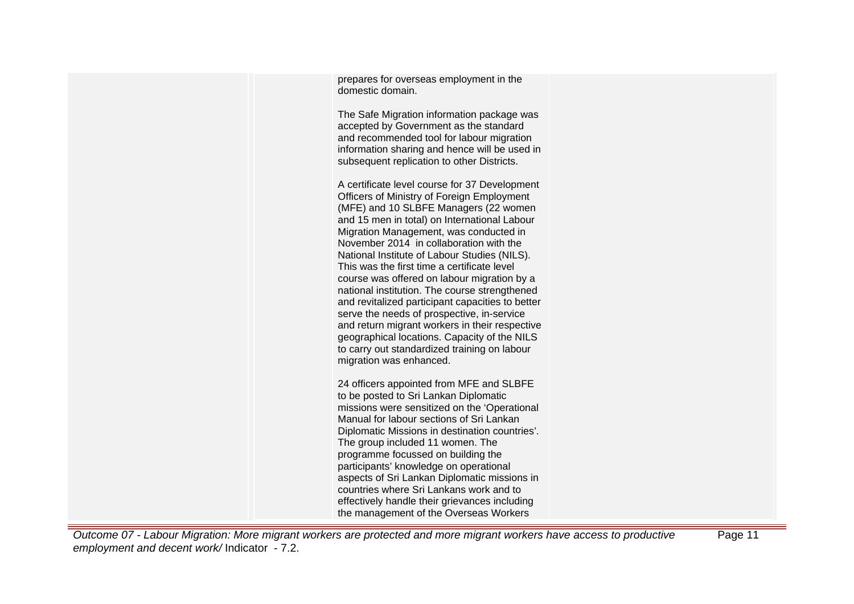prepares for overseas employment in the domestic domain.

The Safe Migration information package was accepted by Government as the standard and recommended tool for labour migration information sharing and hence will be used in subsequent replication to other Districts.

A certificate level course for 37 Development Officers of Ministry of Foreign Employment (MFE) and 10 SLBFE Managers (22 women and 15 men in total) on International Labour Migration Management, was conducted in November 2014 in collaboration with the National Institute of Labour Studies (NILS). This was the first time a certificate level course was offered on labour migration by a national institution. The course strengthened and revitalized participant capacities to better serve the needs of prospective, in-service and return migrant workers in their respective geographical locations. Capacity of the NILS to carry out standardized training on labour migration was enhanced.

24 officers appointed from MFE and SLBFE to be posted to Sri Lankan Diplomatic missions were sensitized on the 'Operational Manual for labour sections of Sri Lankan Diplomatic Missions in destination countries'. The group included 11 women. The programme focussed on building the participants' knowledge on operational aspects of Sri Lankan Diplomatic missions in countries where Sri Lankans work and to effectively handle their grievances including the management of the Overseas Workers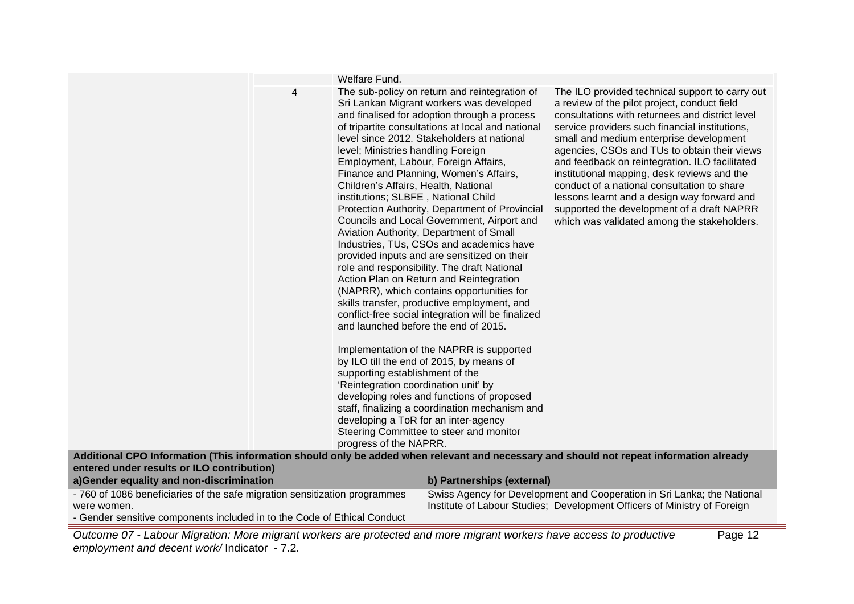|                                                                            |   | Welfare Fund.                                                                                                                                                                                                                                                                                                                                  |                                                                                                                                                                                                                                                                                                                                                                                                                                                                                                                                                                                                                                                                                                                                                                                                                                                                                                                                                                                                             |                                                                                                                                                                                                                                                                                                                                                                                                                                                                                                                                                                                             |
|----------------------------------------------------------------------------|---|------------------------------------------------------------------------------------------------------------------------------------------------------------------------------------------------------------------------------------------------------------------------------------------------------------------------------------------------|-------------------------------------------------------------------------------------------------------------------------------------------------------------------------------------------------------------------------------------------------------------------------------------------------------------------------------------------------------------------------------------------------------------------------------------------------------------------------------------------------------------------------------------------------------------------------------------------------------------------------------------------------------------------------------------------------------------------------------------------------------------------------------------------------------------------------------------------------------------------------------------------------------------------------------------------------------------------------------------------------------------|---------------------------------------------------------------------------------------------------------------------------------------------------------------------------------------------------------------------------------------------------------------------------------------------------------------------------------------------------------------------------------------------------------------------------------------------------------------------------------------------------------------------------------------------------------------------------------------------|
|                                                                            | 4 | level; Ministries handling Foreign<br>Employment, Labour, Foreign Affairs,<br>Children's Affairs, Health, National<br>institutions; SLBFE, National Child<br>and launched before the end of 2015.<br>supporting establishment of the<br>'Reintegration coordination unit' by<br>developing a ToR for an inter-agency<br>progress of the NAPRR. | The sub-policy on return and reintegration of<br>Sri Lankan Migrant workers was developed<br>and finalised for adoption through a process<br>of tripartite consultations at local and national<br>level since 2012. Stakeholders at national<br>Finance and Planning, Women's Affairs,<br>Protection Authority, Department of Provincial<br>Councils and Local Government, Airport and<br>Aviation Authority, Department of Small<br>Industries, TUs, CSOs and academics have<br>provided inputs and are sensitized on their<br>role and responsibility. The draft National<br>Action Plan on Return and Reintegration<br>(NAPRR), which contains opportunities for<br>skills transfer, productive employment, and<br>conflict-free social integration will be finalized<br>Implementation of the NAPRR is supported<br>by ILO till the end of 2015, by means of<br>developing roles and functions of proposed<br>staff, finalizing a coordination mechanism and<br>Steering Committee to steer and monitor | The ILO provided technical support to carry out<br>a review of the pilot project, conduct field<br>consultations with returnees and district level<br>service providers such financial institutions,<br>small and medium enterprise development<br>agencies, CSOs and TUs to obtain their views<br>and feedback on reintegration. ILO facilitated<br>institutional mapping, desk reviews and the<br>conduct of a national consultation to share<br>lessons learnt and a design way forward and<br>supported the development of a draft NAPRR<br>which was validated among the stakeholders. |
|                                                                            |   |                                                                                                                                                                                                                                                                                                                                                |                                                                                                                                                                                                                                                                                                                                                                                                                                                                                                                                                                                                                                                                                                                                                                                                                                                                                                                                                                                                             | Additional CPO Information (This information should only be added when relevant and necessary and should not repeat information already                                                                                                                                                                                                                                                                                                                                                                                                                                                     |
| entered under results or ILO contribution)                                 |   |                                                                                                                                                                                                                                                                                                                                                |                                                                                                                                                                                                                                                                                                                                                                                                                                                                                                                                                                                                                                                                                                                                                                                                                                                                                                                                                                                                             |                                                                                                                                                                                                                                                                                                                                                                                                                                                                                                                                                                                             |
| a)Gender equality and non-discrimination                                   |   |                                                                                                                                                                                                                                                                                                                                                | b) Partnerships (external)                                                                                                                                                                                                                                                                                                                                                                                                                                                                                                                                                                                                                                                                                                                                                                                                                                                                                                                                                                                  |                                                                                                                                                                                                                                                                                                                                                                                                                                                                                                                                                                                             |
| - 760 of 1086 beneficiaries of the safe migration sensitization programmes |   |                                                                                                                                                                                                                                                                                                                                                |                                                                                                                                                                                                                                                                                                                                                                                                                                                                                                                                                                                                                                                                                                                                                                                                                                                                                                                                                                                                             | Swiss Agency for Development and Cooperation in Sri Lanka; the National                                                                                                                                                                                                                                                                                                                                                                                                                                                                                                                     |
| were women.                                                                |   |                                                                                                                                                                                                                                                                                                                                                |                                                                                                                                                                                                                                                                                                                                                                                                                                                                                                                                                                                                                                                                                                                                                                                                                                                                                                                                                                                                             | Institute of Labour Studies; Development Officers of Ministry of Foreign                                                                                                                                                                                                                                                                                                                                                                                                                                                                                                                    |
| - Gender sensitive components included in to the Code of Ethical Conduct   |   |                                                                                                                                                                                                                                                                                                                                                |                                                                                                                                                                                                                                                                                                                                                                                                                                                                                                                                                                                                                                                                                                                                                                                                                                                                                                                                                                                                             |                                                                                                                                                                                                                                                                                                                                                                                                                                                                                                                                                                                             |
|                                                                            |   |                                                                                                                                                                                                                                                                                                                                                |                                                                                                                                                                                                                                                                                                                                                                                                                                                                                                                                                                                                                                                                                                                                                                                                                                                                                                                                                                                                             |                                                                                                                                                                                                                                                                                                                                                                                                                                                                                                                                                                                             |

Outcome 07 - Labour Migration: More migrant workers are protected and more migrant workers have access to productive employment and decent work/ Indicator - 7.2. Page 12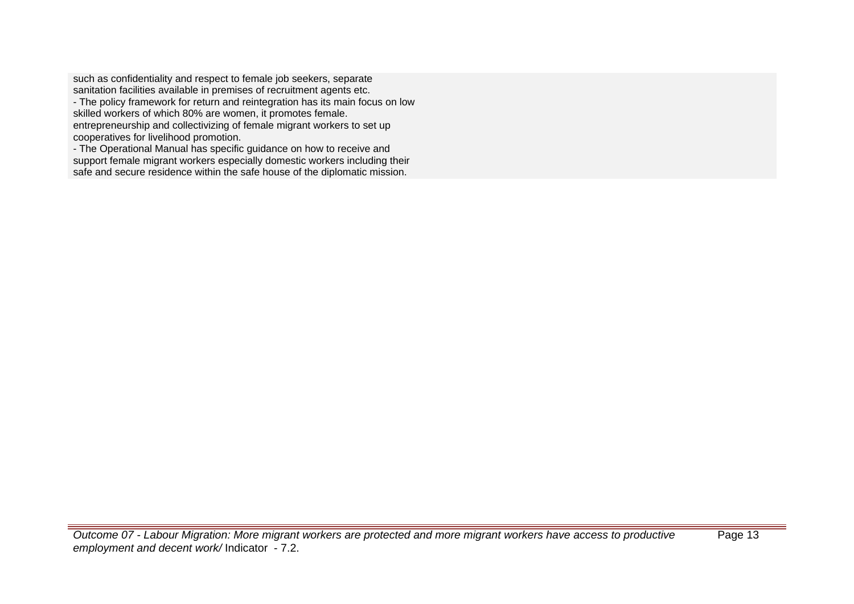such as confidentiality and respect to female job seekers, separate sanitation facilities available in premises of recruitment agents etc. - The policy framework for return and reintegration has its main focus on low skilled workers of which 80% are women, it promotes female. entrepreneurship and collectivizing of female migrant workers to set up cooperatives for livelihood promotion.

- The Operational Manual has specific guidance on how to receive and support female migrant workers especially domestic workers including their safe and secure residence within the safe house of the diplomatic mission.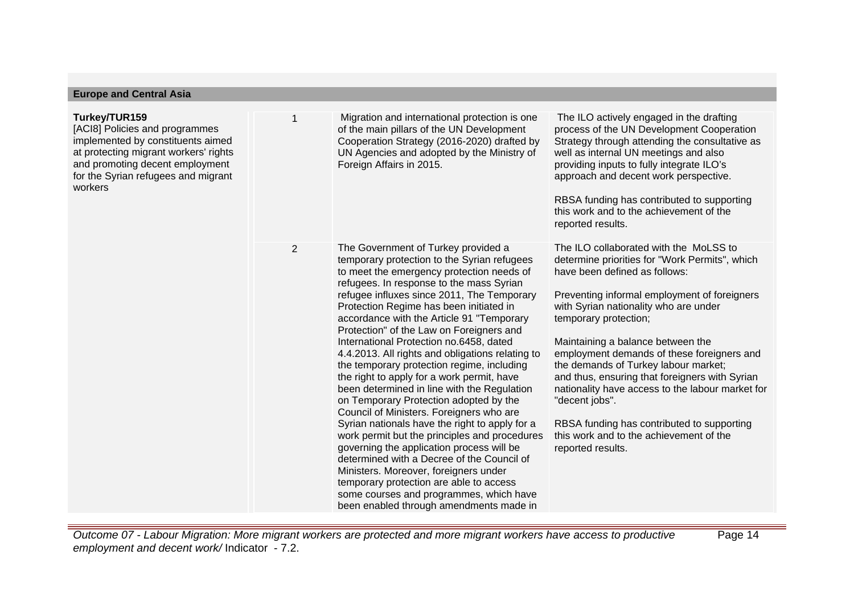| <b>Europe and Central Asia</b>                                                                                                                                                                                     |                |                                                                                                                                                                                                                                                                                                                                                                                                                                                                                                                                                                                                                                                                                                                                                                                                                                                                                                                                                                                                                                                                       |                                                                                                                                                                                                                                                                                                                                                                                                                                                                                                                                                                                                              |
|--------------------------------------------------------------------------------------------------------------------------------------------------------------------------------------------------------------------|----------------|-----------------------------------------------------------------------------------------------------------------------------------------------------------------------------------------------------------------------------------------------------------------------------------------------------------------------------------------------------------------------------------------------------------------------------------------------------------------------------------------------------------------------------------------------------------------------------------------------------------------------------------------------------------------------------------------------------------------------------------------------------------------------------------------------------------------------------------------------------------------------------------------------------------------------------------------------------------------------------------------------------------------------------------------------------------------------|--------------------------------------------------------------------------------------------------------------------------------------------------------------------------------------------------------------------------------------------------------------------------------------------------------------------------------------------------------------------------------------------------------------------------------------------------------------------------------------------------------------------------------------------------------------------------------------------------------------|
| Turkey/TUR159<br>[ACI8] Policies and programmes<br>implemented by constituents aimed<br>at protecting migrant workers' rights<br>and promoting decent employment<br>for the Syrian refugees and migrant<br>workers |                | Migration and international protection is one<br>of the main pillars of the UN Development<br>Cooperation Strategy (2016-2020) drafted by<br>UN Agencies and adopted by the Ministry of<br>Foreign Affairs in 2015.                                                                                                                                                                                                                                                                                                                                                                                                                                                                                                                                                                                                                                                                                                                                                                                                                                                   | The ILO actively engaged in the drafting<br>process of the UN Development Cooperation<br>Strategy through attending the consultative as<br>well as internal UN meetings and also<br>providing inputs to fully integrate ILO's<br>approach and decent work perspective.<br>RBSA funding has contributed to supporting<br>this work and to the achievement of the<br>reported results.                                                                                                                                                                                                                         |
|                                                                                                                                                                                                                    | $\overline{2}$ | The Government of Turkey provided a<br>temporary protection to the Syrian refugees<br>to meet the emergency protection needs of<br>refugees. In response to the mass Syrian<br>refugee influxes since 2011, The Temporary<br>Protection Regime has been initiated in<br>accordance with the Article 91 "Temporary<br>Protection" of the Law on Foreigners and<br>International Protection no.6458, dated<br>4.4.2013. All rights and obligations relating to<br>the temporary protection regime, including<br>the right to apply for a work permit, have<br>been determined in line with the Regulation<br>on Temporary Protection adopted by the<br>Council of Ministers. Foreigners who are<br>Syrian nationals have the right to apply for a<br>work permit but the principles and procedures<br>governing the application process will be<br>determined with a Decree of the Council of<br>Ministers. Moreover, foreigners under<br>temporary protection are able to access<br>some courses and programmes, which have<br>been enabled through amendments made in | The ILO collaborated with the MoLSS to<br>determine priorities for "Work Permits", which<br>have been defined as follows:<br>Preventing informal employment of foreigners<br>with Syrian nationality who are under<br>temporary protection;<br>Maintaining a balance between the<br>employment demands of these foreigners and<br>the demands of Turkey labour market;<br>and thus, ensuring that foreigners with Syrian<br>nationality have access to the labour market for<br>"decent jobs".<br>RBSA funding has contributed to supporting<br>this work and to the achievement of the<br>reported results. |

Outcome 07 - Labour Migration: More migrant workers are protected and more migrant workers have access to productive employment and decent work/ Indicator - 7.2.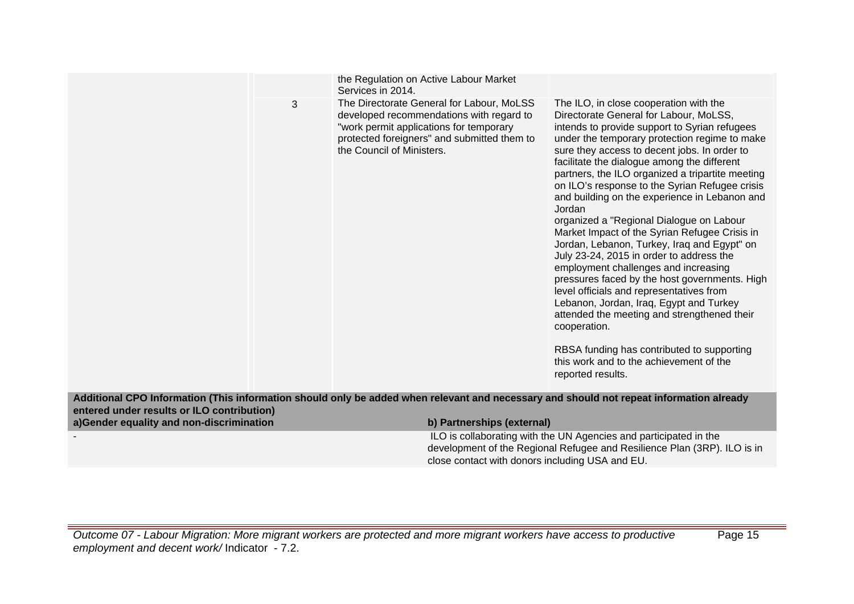|                                            |   | Services in 2014.         | the Regulation on Active Labour Market                                                                                                                                          |                                                                                                                                                                                                                                                                                                                                                                                                                                                                                                                                                                                                                                                                                                                                                                                                                                                                                                                                                                                                         |
|--------------------------------------------|---|---------------------------|---------------------------------------------------------------------------------------------------------------------------------------------------------------------------------|---------------------------------------------------------------------------------------------------------------------------------------------------------------------------------------------------------------------------------------------------------------------------------------------------------------------------------------------------------------------------------------------------------------------------------------------------------------------------------------------------------------------------------------------------------------------------------------------------------------------------------------------------------------------------------------------------------------------------------------------------------------------------------------------------------------------------------------------------------------------------------------------------------------------------------------------------------------------------------------------------------|
|                                            | 3 | the Council of Ministers. | The Directorate General for Labour, MoLSS<br>developed recommendations with regard to<br>"work permit applications for temporary<br>protected foreigners" and submitted them to | The ILO, in close cooperation with the<br>Directorate General for Labour, MoLSS,<br>intends to provide support to Syrian refugees<br>under the temporary protection regime to make<br>sure they access to decent jobs. In order to<br>facilitate the dialogue among the different<br>partners, the ILO organized a tripartite meeting<br>on ILO's response to the Syrian Refugee crisis<br>and building on the experience in Lebanon and<br>Jordan<br>organized a "Regional Dialogue on Labour<br>Market Impact of the Syrian Refugee Crisis in<br>Jordan, Lebanon, Turkey, Iraq and Egypt" on<br>July 23-24, 2015 in order to address the<br>employment challenges and increasing<br>pressures faced by the host governments. High<br>level officials and representatives from<br>Lebanon, Jordan, Iraq, Egypt and Turkey<br>attended the meeting and strengthened their<br>cooperation.<br>RBSA funding has contributed to supporting<br>this work and to the achievement of the<br>reported results. |
| entered under results or ILO contribution) |   |                           |                                                                                                                                                                                 | Additional CPO Information (This information should only be added when relevant and necessary and should not repeat information already                                                                                                                                                                                                                                                                                                                                                                                                                                                                                                                                                                                                                                                                                                                                                                                                                                                                 |
| a)Gender equality and non-discrimination   |   |                           | b) Partnerships (external)                                                                                                                                                      |                                                                                                                                                                                                                                                                                                                                                                                                                                                                                                                                                                                                                                                                                                                                                                                                                                                                                                                                                                                                         |
|                                            |   |                           | close contact with donors including USA and EU.                                                                                                                                 | ILO is collaborating with the UN Agencies and participated in the<br>development of the Regional Refugee and Resilience Plan (3RP). ILO is in                                                                                                                                                                                                                                                                                                                                                                                                                                                                                                                                                                                                                                                                                                                                                                                                                                                           |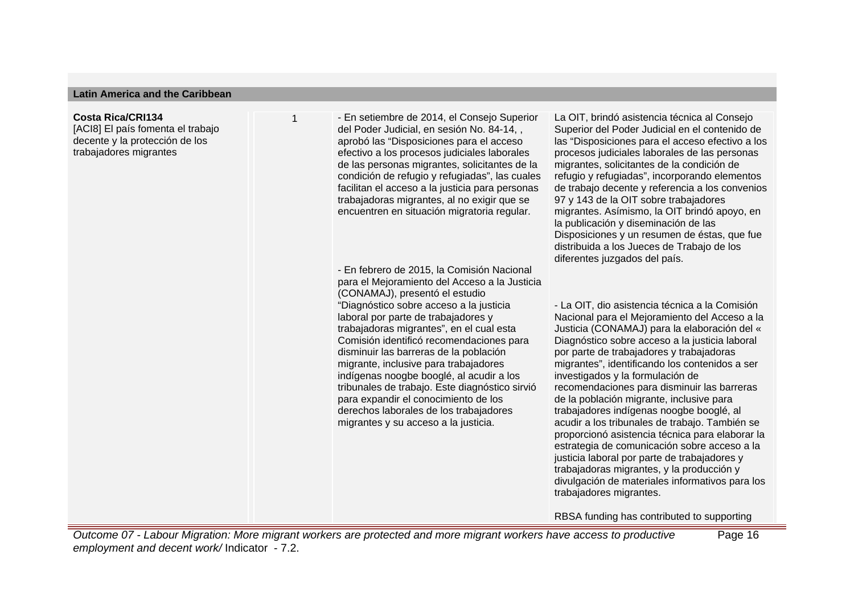#### **Latin America and the Caribbean**

### **Costa Rica/CRI134**

[ACI8] El país fomenta el trabajo decente y la protección de los trabajadores migrantes

1 - En setiembre de 2014, el Consejo Superior del Poder Judicial, en sesión No. 84-14, , aprobó las "Disposiciones para el acceso efectivo a los procesos judiciales laborales de las personas migrantes, solicitantes de la condición de refugio y refugiadas", las cuales facilitan el acceso a la justicia para personas trabajadoras migrantes, al no exigir que se encuentren en situación migratoria regular.

- En febrero de 2015, la Comisión Nacional para el Mejoramiento del Acceso a la Justicia (CONAMAJ), presentó el estudio "Diagnóstico sobre acceso a la justicia laboral por parte de trabajadores y trabajadoras migrantes", en el cual esta Comisión identificó recomendaciones para disminuir las barreras de la población migrante, inclusive para trabajadores indígenas noogbe booglé, al acudir a los tribunales de trabajo. Este diagnóstico sirvió para expandir el conocimiento de los derechos laborales de los trabajadores migrantes y su acceso a la justicia.

La OIT, brindó asistencia técnica al Consejo Superior del Poder Judicial en el contenido de las "Disposiciones para el acceso efectivo a los procesos judiciales laborales de las personas migrantes, solicitantes de la condición de refugio y refugiadas", incorporando elementos de trabajo decente y referencia a los convenios 97 y 143 de la OIT sobre trabajadores migrantes. Asímismo, la OIT brindó apoyo, en la publicación y diseminación de las Disposiciones y un resumen de éstas, que fue distribuida a los Jueces de Trabajo de los diferentes juzgados del país.

- La OIT, dio asistencia técnica a la Comisión Nacional para el Mejoramiento del Acceso a la Justicia (CONAMAJ) para la elaboración del « Diagnóstico sobre acceso a la justicia laboral por parte de trabajadores y trabajadoras migrantes", identificando los contenidos a ser investigados y la formulación de recomendaciones para disminuir las barreras de la población migrante, inclusive para trabajadores indígenas noogbe booglé, al acudir a los tribunales de trabajo. También se proporcionó asistencia técnica para elaborar la estrategia de comunicación sobre acceso a la justicia laboral por parte de trabajadores y trabajadoras migrantes, y la producción y divulgación de materiales informativos para los trabajadores migrantes.

RBSA funding has contributed to supporting